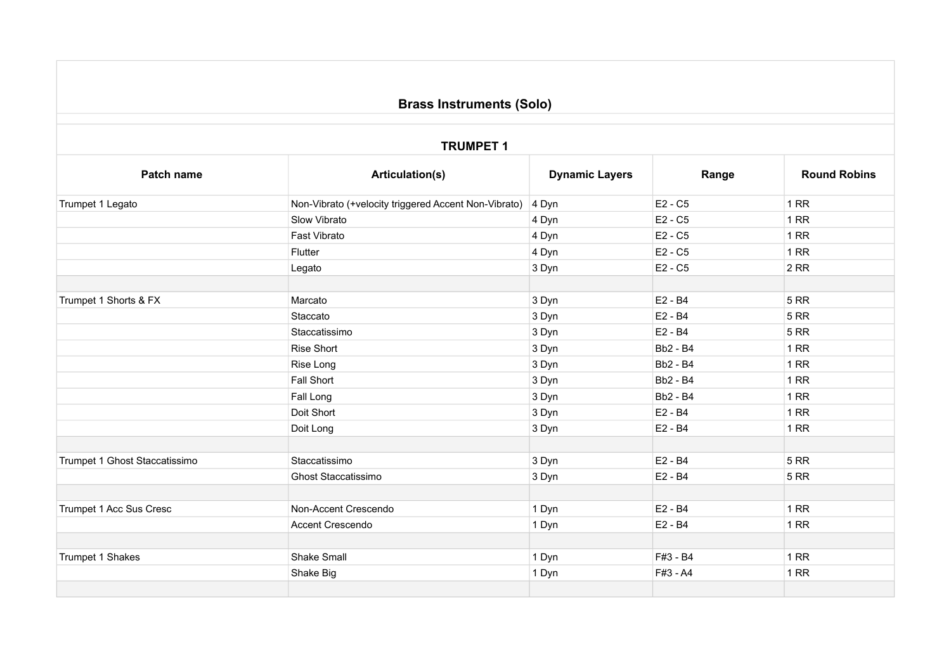## **Brass Instruments (Solo)**

## **TRUMPET 1**

| Patch name                    | <b>Articulation(s)</b>                               | <b>Dynamic Layers</b> | Range           | <b>Round Robins</b> |
|-------------------------------|------------------------------------------------------|-----------------------|-----------------|---------------------|
| Trumpet 1 Legato              | Non-Vibrato (+velocity triggered Accent Non-Vibrato) | 4 Dyn                 | $E2 - C5$       | 1RR                 |
|                               | Slow Vibrato                                         | 4 Dyn                 | E2 - C5         | 1RR                 |
|                               | Fast Vibrato                                         | 4 Dyn                 | E2 - C5         | 1RR                 |
|                               | Flutter                                              | 4 Dyn                 | $E2 - C5$       | 1RR                 |
|                               | Legato                                               | 3 Dyn                 | E2 - C5         | 2RR                 |
|                               |                                                      |                       |                 |                     |
| Trumpet 1 Shorts & FX         | Marcato                                              | 3 Dyn                 | E2 - B4         | 5RR                 |
|                               | Staccato                                             | 3 Dyn                 | E2 - B4         | <b>5 RR</b>         |
|                               | Staccatissimo                                        | 3 Dyn                 | E2 - B4         | <b>5 RR</b>         |
|                               | <b>Rise Short</b>                                    | 3 Dyn                 | <b>Bb2 - B4</b> | 1 RR                |
|                               | Rise Long                                            | 3 Dyn                 | <b>Bb2 - B4</b> | 1RR                 |
|                               | <b>Fall Short</b>                                    | 3 Dyn                 | <b>Bb2 - B4</b> | 1 RR                |
|                               | Fall Long                                            | 3 Dyn                 | <b>Bb2 - B4</b> | 1RR                 |
|                               | Doit Short                                           | 3 Dyn                 | E2 - B4         | 1RR                 |
|                               | Doit Long                                            | 3 Dyn                 | E2 - B4         | 1RR                 |
|                               |                                                      |                       |                 |                     |
| Trumpet 1 Ghost Staccatissimo | Staccatissimo                                        | 3 Dyn                 | E2 - B4         | <b>5 RR</b>         |
|                               | Ghost Staccatissimo                                  | 3 Dyn                 | E2 - B4         | <b>5 RR</b>         |
|                               |                                                      |                       |                 |                     |
| Trumpet 1 Acc Sus Cresc       | Non-Accent Crescendo                                 | 1 Dyn                 | E2 - B4         | 1RR                 |
|                               | Accent Crescendo                                     | 1 Dyn                 | E2 - B4         | 1RR                 |
|                               |                                                      |                       |                 |                     |
| Trumpet 1 Shakes              | Shake Small                                          | 1 Dyn                 | F#3 - B4        | 1RR                 |
|                               | Shake Big                                            | 1 Dyn                 | F#3 - A4        | 1RR                 |
|                               |                                                      |                       |                 |                     |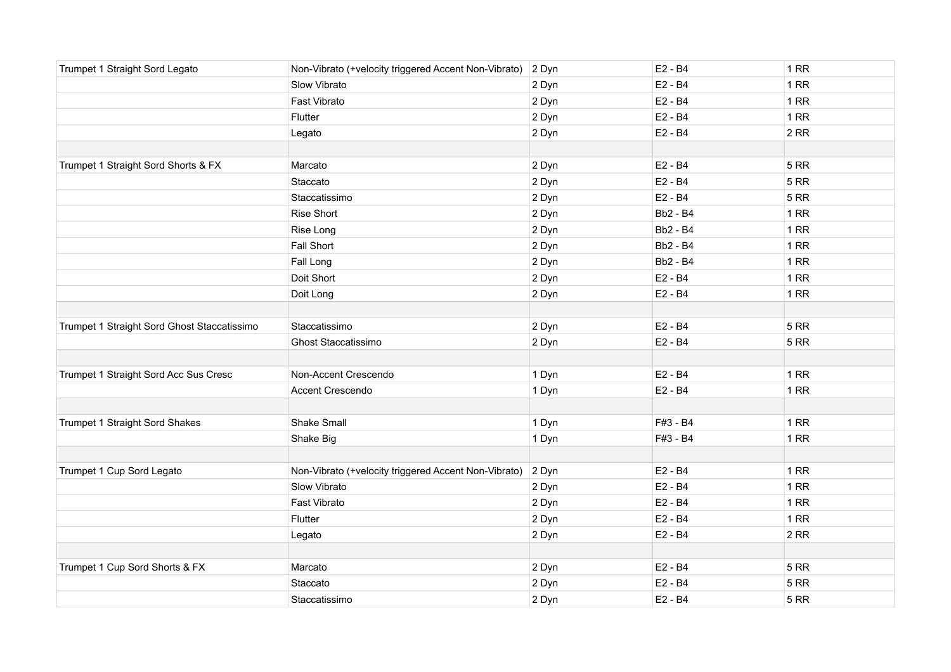| Trumpet 1 Straight Sord Legato              | Non-Vibrato (+velocity triggered Accent Non-Vibrato) | 2 Dyn | E2 - B4         | 1RR         |
|---------------------------------------------|------------------------------------------------------|-------|-----------------|-------------|
|                                             | Slow Vibrato                                         | 2 Dyn | E2 - B4         | 1RR         |
|                                             | Fast Vibrato                                         | 2 Dyn | E2 - B4         | 1RR         |
|                                             | Flutter                                              | 2 Dyn | E2 - B4         | 1RR         |
|                                             | Legato                                               | 2 Dyn | E2 - B4         | 2RR         |
|                                             |                                                      |       |                 |             |
| Trumpet 1 Straight Sord Shorts & FX         | Marcato                                              | 2 Dyn | E2 - B4         | 5RR         |
|                                             | Staccato                                             | 2 Dyn | E2 - B4         | <b>5 RR</b> |
|                                             | Staccatissimo                                        | 2 Dyn | E2 - B4         | <b>5 RR</b> |
|                                             | <b>Rise Short</b>                                    | 2 Dyn | <b>Bb2 - B4</b> | 1RR         |
|                                             | Rise Long                                            | 2 Dyn | <b>Bb2 - B4</b> | 1RR         |
|                                             | Fall Short                                           | 2 Dyn | <b>Bb2 - B4</b> | 1RR         |
|                                             | Fall Long                                            | 2 Dyn | <b>Bb2 - B4</b> | 1RR         |
|                                             | Doit Short                                           | 2 Dyn | E2 - B4         | 1RR         |
|                                             | Doit Long                                            | 2 Dyn | E2 - B4         | 1RR         |
|                                             |                                                      |       |                 |             |
| Trumpet 1 Straight Sord Ghost Staccatissimo | Staccatissimo                                        | 2 Dyn | E2 - B4         | 5RR         |
|                                             | <b>Ghost Staccatissimo</b>                           | 2 Dyn | E2 - B4         | <b>5 RR</b> |
|                                             |                                                      |       |                 |             |
| Trumpet 1 Straight Sord Acc Sus Cresc       | Non-Accent Crescendo                                 | 1 Dyn | E2 - B4         | 1RR         |
|                                             | Accent Crescendo                                     | 1 Dyn | E2 - B4         | 1RR         |
|                                             |                                                      |       |                 |             |
| Trumpet 1 Straight Sord Shakes              | Shake Small                                          | 1 Dyn | F#3 - B4        | 1RR         |
|                                             | Shake Big                                            | 1 Dyn | F#3 - B4        | 1RR         |
|                                             |                                                      |       |                 |             |
| Trumpet 1 Cup Sord Legato                   | Non-Vibrato (+velocity triggered Accent Non-Vibrato) | 2 Dyn | E2 - B4         | 1RR         |
|                                             | Slow Vibrato                                         | 2 Dyn | E2 - B4         | 1RR         |
|                                             | Fast Vibrato                                         | 2 Dyn | E2 - B4         | 1RR         |
|                                             | Flutter                                              | 2 Dyn | E2 - B4         | 1RR         |
|                                             | Legato                                               | 2 Dyn | E2 - B4         | 2RR         |
|                                             |                                                      |       |                 |             |
| Trumpet 1 Cup Sord Shorts & FX              | Marcato                                              | 2 Dyn | E2 - B4         | <b>5 RR</b> |
|                                             | Staccato                                             | 2 Dyn | E2 - B4         | <b>5 RR</b> |
|                                             | Staccatissimo                                        | 2 Dyn | E2 - B4         | <b>5 RR</b> |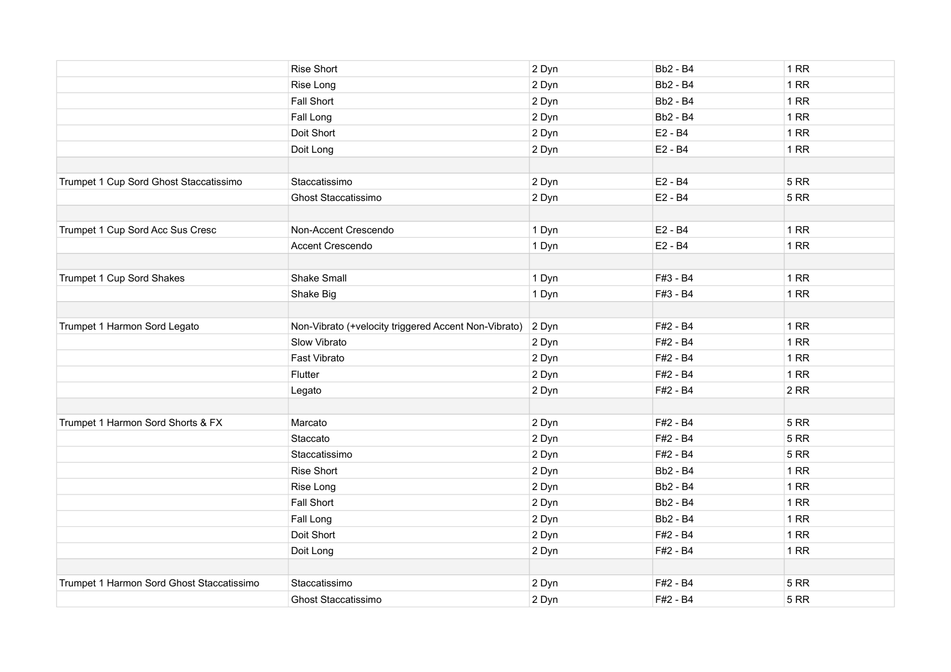|                                           | Rise Short                                           | 2 Dyn | <b>Bb2 - B4</b> | 1 RR        |
|-------------------------------------------|------------------------------------------------------|-------|-----------------|-------------|
|                                           | Rise Long                                            | 2 Dyn | <b>Bb2 - B4</b> | 1RR         |
|                                           | Fall Short                                           | 2 Dyn | <b>Bb2 - B4</b> | 1RR         |
|                                           | Fall Long                                            | 2 Dyn | <b>Bb2 - B4</b> | 1RR         |
|                                           | Doit Short                                           | 2 Dyn | E2 - B4         | 1RR         |
|                                           | Doit Long                                            | 2 Dyn | E2 - B4         | 1 RR        |
| Trumpet 1 Cup Sord Ghost Staccatissimo    | Staccatissimo                                        | 2 Dyn | E2 - B4         | <b>5 RR</b> |
|                                           | Ghost Staccatissimo                                  | 2 Dyn | E2 - B4         | <b>5 RR</b> |
| Trumpet 1 Cup Sord Acc Sus Cresc          | Non-Accent Crescendo                                 | 1 Dyn | E2 - B4         | <b>1 RR</b> |
|                                           | Accent Crescendo                                     | 1 Dyn | E2 - B4         | 1RR         |
| Trumpet 1 Cup Sord Shakes                 | Shake Small                                          | 1 Dyn | F#3 - B4        | 1RR         |
|                                           | Shake Big                                            | 1 Dyn | F#3 - B4        | 1RR         |
| Trumpet 1 Harmon Sord Legato              | Non-Vibrato (+velocity triggered Accent Non-Vibrato) | 2 Dyn | F#2 - B4        | 1RR         |
|                                           | Slow Vibrato                                         | 2 Dyn | F#2 - B4        | 1RR         |
|                                           | Fast Vibrato                                         | 2 Dyn | F#2 - B4        | 1RR         |
|                                           | Flutter                                              | 2 Dyn | F#2 - B4        | 1RR         |
|                                           | Legato                                               | 2 Dyn | F#2 - B4        | 2RR         |
| Trumpet 1 Harmon Sord Shorts & FX         | Marcato                                              | 2 Dyn | F#2 - B4        | <b>5 RR</b> |
|                                           | Staccato                                             | 2 Dyn | F#2 - B4        | <b>5 RR</b> |
|                                           | Staccatissimo                                        | 2 Dyn | F#2 - B4        | 5RR         |
|                                           | Rise Short                                           | 2 Dyn | <b>Bb2 - B4</b> | 1RR         |
|                                           | Rise Long                                            | 2 Dyn | <b>Bb2 - B4</b> | 1RR         |
|                                           | Fall Short                                           | 2 Dyn | <b>Bb2 - B4</b> | 1RR         |
|                                           | Fall Long                                            | 2 Dyn | <b>Bb2 - B4</b> | 1RR         |
|                                           | Doit Short                                           | 2 Dyn | F#2 - B4        | 1RR         |
|                                           | Doit Long                                            | 2 Dyn | F#2 - B4        | 1RR         |
| Trumpet 1 Harmon Sord Ghost Staccatissimo | Staccatissimo                                        | 2 Dyn | F#2 - B4        | <b>5 RR</b> |
|                                           | <b>Ghost Staccatissimo</b>                           | 2 Dyn | F#2 - B4        | <b>5 RR</b> |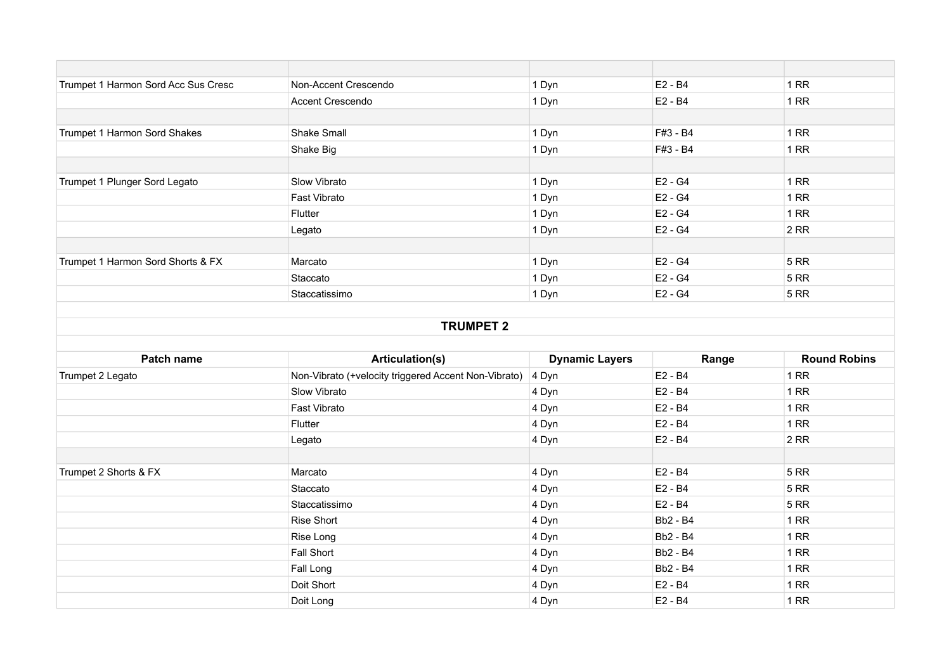| Trumpet 1 Harmon Sord Acc Sus Cresc | Non-Accent Crescendo | 1 Dyn | E2 - B4   | 1 RR |
|-------------------------------------|----------------------|-------|-----------|------|
|                                     | Accent Crescendo     | 1 Dyn | $E2 - B4$ | 1 RR |
|                                     |                      |       |           |      |
| Trumpet 1 Harmon Sord Shakes        | <b>Shake Small</b>   | 1 Dyn | F#3 - B4  | 1 RR |
|                                     | Shake Big            | 1 Dyn | F#3 - B4  | 1 RR |
|                                     |                      |       |           |      |
| Trumpet 1 Plunger Sord Legato       | Slow Vibrato         | 1 Dyn | E2 - G4   | 1 RR |
|                                     | Fast Vibrato         | 1 Dyn | $E2 - G4$ | 1 RR |
|                                     | Flutter              | 1 Dyn | E2 - G4   | 1 RR |
|                                     | Legato               | 1 Dyn | $E2 - G4$ | 2 RR |
|                                     |                      |       |           |      |
| Trumpet 1 Harmon Sord Shorts & FX   | Marcato              | 1 Dyn | E2 - G4   | 5 RR |
|                                     | Staccato             | 1 Dyn | $E2 - G4$ | 5 RR |
|                                     | Staccatissimo        | 1 Dyn | $E2 - G4$ | 5 RR |
|                                     |                      |       |           |      |
| <b>TRUMPET 2</b>                    |                      |       |           |      |

| Patch name            | Articulation(s)                                      | <b>Dynamic Layers</b> | Range           | <b>Round Robins</b> |
|-----------------------|------------------------------------------------------|-----------------------|-----------------|---------------------|
| Trumpet 2 Legato      | Non-Vibrato (+velocity triggered Accent Non-Vibrato) | 4 Dyn                 | E2 - B4         | 1 RR                |
|                       | Slow Vibrato                                         | 4 Dyn                 | E2 - B4         | 1 RR                |
|                       | Fast Vibrato                                         | 4 Dyn                 | E2 - B4         | 1 RR                |
|                       | Flutter                                              | 4 Dyn                 | E2 - B4         | 1 RR                |
|                       | Legato                                               | 4 Dyn                 | E2 - B4         | $2$ RR              |
|                       |                                                      |                       |                 |                     |
| Trumpet 2 Shorts & FX | Marcato                                              | 4 Dyn                 | E2 - B4         | 5 RR                |
|                       | Staccato                                             | 4 Dyn                 | E2 - B4         | 5 RR                |
|                       | Staccatissimo                                        | 4 Dyn                 | E2 - B4         | 5 RR                |
|                       | Rise Short                                           | 4 Dyn                 | <b>Bb2 - B4</b> | 1 RR                |
|                       | Rise Long                                            | 4 Dyn                 | <b>Bb2 - B4</b> | 1 RR                |
|                       | Fall Short                                           | 4 Dyn                 | <b>Bb2 - B4</b> | 1 RR                |
|                       | Fall Long                                            | 4 Dyn                 | <b>Bb2 - B4</b> | 1 RR                |
|                       | Doit Short                                           | 4 Dyn                 | E2 - B4         | 1 RR                |
|                       | Doit Long                                            | 4 Dyn                 | E2 - B4         | 1 RR                |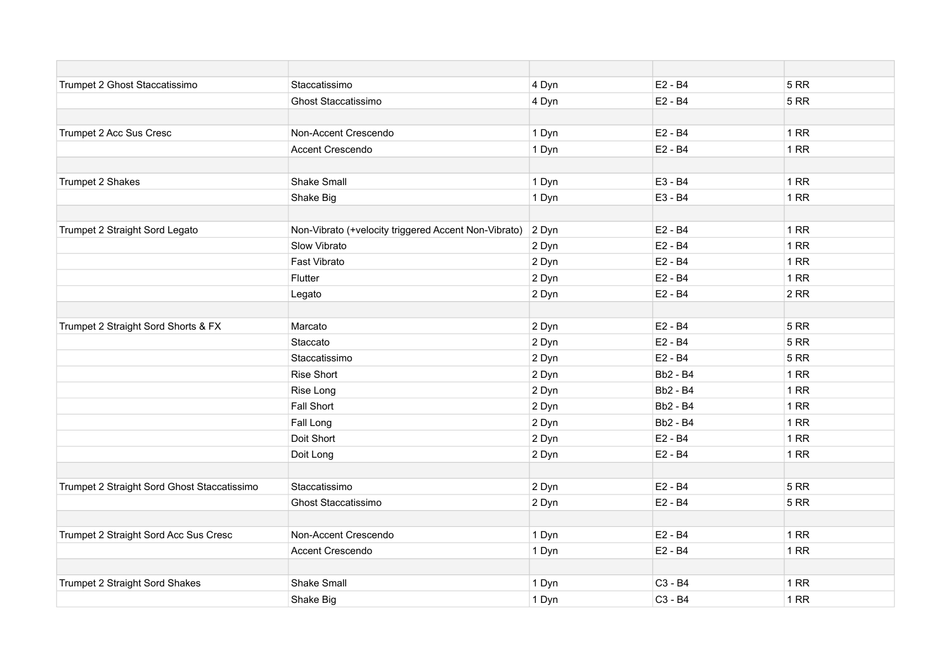| Trumpet 2 Ghost Staccatissimo               | Staccatissimo                                        | 4 Dyn | E2 - B4                         | <b>5 RR</b> |
|---------------------------------------------|------------------------------------------------------|-------|---------------------------------|-------------|
|                                             | <b>Ghost Staccatissimo</b>                           | 4 Dyn | E2 - B4                         | <b>5 RR</b> |
|                                             |                                                      |       |                                 |             |
| Trumpet 2 Acc Sus Cresc                     | Non-Accent Crescendo                                 | 1 Dyn | $E2 - B4$                       | 1 RR        |
|                                             | Accent Crescendo                                     | 1 Dyn | E2 - B4                         | 1 RR        |
|                                             |                                                      |       |                                 |             |
| Trumpet 2 Shakes                            | Shake Small                                          | 1 Dyn | E3 - B4                         | 1 RR        |
|                                             | Shake Big                                            | 1 Dyn | E3 - B4                         | <b>1 RR</b> |
|                                             |                                                      |       |                                 |             |
| Trumpet 2 Straight Sord Legato              | Non-Vibrato (+velocity triggered Accent Non-Vibrato) | 2 Dyn | E2 - B4                         | 1RR         |
|                                             | Slow Vibrato                                         | 2 Dyn | E2 - B4                         | 1RR         |
|                                             | Fast Vibrato                                         | 2 Dyn | E2 - B4                         | 1RR         |
|                                             | Flutter                                              | 2 Dyn | E2 - B4                         | 1RR         |
|                                             | Legato                                               | 2 Dyn | E2 - B4                         | 2RR         |
|                                             |                                                      |       |                                 |             |
| Trumpet 2 Straight Sord Shorts & FX         | Marcato                                              | 2 Dyn | E2 - B4                         | <b>5 RR</b> |
|                                             | Staccato                                             | 2 Dyn | E2 - B4                         | <b>5 RR</b> |
|                                             | Staccatissimo                                        | 2 Dyn | E2 - B4                         | <b>5 RR</b> |
|                                             | <b>Rise Short</b>                                    | 2 Dyn | <b>Bb2 - B4</b>                 | 1RR         |
|                                             | Rise Long                                            | 2 Dyn | <b>Bb2 - B4</b>                 | 1RR         |
|                                             | Fall Short                                           | 2 Dyn | <b>Bb2 - B4</b>                 | 1RR         |
|                                             | Fall Long                                            | 2 Dyn | <b>Bb2 - B4</b>                 | 1RR         |
|                                             | Doit Short                                           | 2 Dyn | E2 - B4                         | 1RR         |
|                                             | Doit Long                                            | 2 Dyn | E2 - B4                         | 1RR         |
|                                             |                                                      |       |                                 |             |
| Trumpet 2 Straight Sord Ghost Staccatissimo | Staccatissimo                                        | 2 Dyn | E2 - B4                         | <b>5 RR</b> |
|                                             | <b>Ghost Staccatissimo</b>                           | 2 Dyn | E2 - B4                         | <b>5 RR</b> |
|                                             |                                                      |       |                                 |             |
| Trumpet 2 Straight Sord Acc Sus Cresc       | Non-Accent Crescendo                                 | 1 Dyn | E2 - B4                         | 1 RR        |
|                                             | Accent Crescendo                                     | 1 Dyn | E2 - B4                         | 1RR         |
|                                             |                                                      |       |                                 |             |
| Trumpet 2 Straight Sord Shakes              | Shake Small                                          | 1 Dyn | C <sub>3</sub> - B <sub>4</sub> | <b>1 RR</b> |
|                                             | Shake Big                                            | 1 Dyn | C3 - B4                         | 1RR         |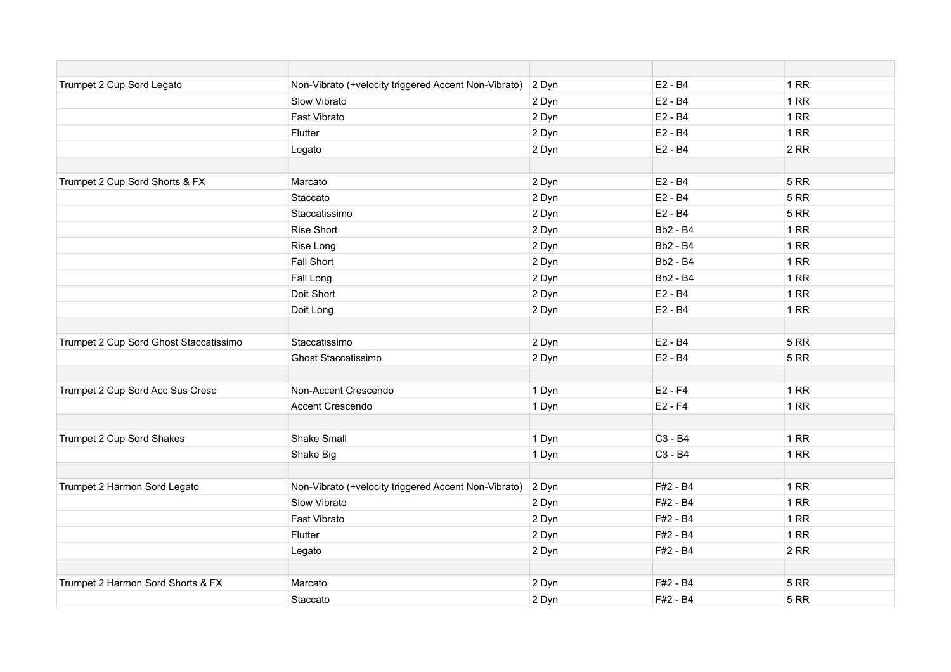| Trumpet 2 Cup Sord Legato              | Non-Vibrato (+velocity triggered Accent Non-Vibrato) | 2 Dyn | E2 - B4                         | 1RR         |
|----------------------------------------|------------------------------------------------------|-------|---------------------------------|-------------|
|                                        | Slow Vibrato                                         | 2 Dyn | E2 - B4                         | 1 RR        |
|                                        | Fast Vibrato                                         | 2 Dyn | E2 - B4                         | 1RR         |
|                                        | Flutter                                              | 2 Dyn | E2 - B4                         | 1RR         |
|                                        | Legato                                               | 2 Dyn | E2 - B4                         | 2RR         |
|                                        |                                                      |       |                                 |             |
| Trumpet 2 Cup Sord Shorts & FX         | Marcato                                              | 2 Dyn | E2 - B4                         | <b>5 RR</b> |
|                                        | Staccato                                             | 2 Dyn | E2 - B4                         | <b>5 RR</b> |
|                                        | Staccatissimo                                        | 2 Dyn | E2 - B4                         | <b>5 RR</b> |
|                                        | <b>Rise Short</b>                                    | 2 Dyn | <b>Bb2 - B4</b>                 | <b>1 RR</b> |
|                                        | Rise Long                                            | 2 Dyn | <b>Bb2 - B4</b>                 | 1 RR        |
|                                        | Fall Short                                           | 2 Dyn | <b>Bb2 - B4</b>                 | 1 RR        |
|                                        | Fall Long                                            | 2 Dyn | <b>Bb2 - B4</b>                 | 1RR         |
|                                        | Doit Short                                           | 2 Dyn | $E2 - B4$                       | 1 RR        |
|                                        | Doit Long                                            | 2 Dyn | E2 - B4                         | 1RR         |
|                                        |                                                      |       |                                 |             |
| Trumpet 2 Cup Sord Ghost Staccatissimo | Staccatissimo                                        | 2 Dyn | E2 - B4                         | <b>5 RR</b> |
|                                        | Ghost Staccatissimo                                  | 2 Dyn | E2 - B4                         | <b>5 RR</b> |
| Trumpet 2 Cup Sord Acc Sus Cresc       | Non-Accent Crescendo                                 | 1 Dyn | $E2 - F4$                       | 1RR         |
|                                        | Accent Crescendo                                     | 1 Dyn | $E2 - F4$                       | 1RR         |
|                                        |                                                      |       |                                 |             |
| Trumpet 2 Cup Sord Shakes              | <b>Shake Small</b>                                   | 1 Dyn | C <sub>3</sub> - B <sub>4</sub> | 1 RR        |
|                                        | Shake Big                                            | 1 Dyn | C3 - B4                         | 1RR         |
|                                        |                                                      |       |                                 |             |
| Trumpet 2 Harmon Sord Legato           | Non-Vibrato (+velocity triggered Accent Non-Vibrato) | 2 Dyn | F#2 - B4                        | 1RR         |
|                                        | Slow Vibrato                                         | 2 Dyn | F#2 - B4                        | 1 RR        |
|                                        | Fast Vibrato                                         | 2 Dyn | F#2 - B4                        | 1RR         |
|                                        | Flutter                                              | 2 Dyn | F#2 - B4                        | 1RR         |
|                                        | Legato                                               | 2 Dyn | F#2 - B4                        | 2RR         |
|                                        |                                                      |       |                                 |             |
| Trumpet 2 Harmon Sord Shorts & FX      | Marcato                                              | 2 Dyn | F#2 - B4                        | <b>5 RR</b> |
|                                        | Staccato                                             | 2 Dyn | F#2 - B4                        | <b>5 RR</b> |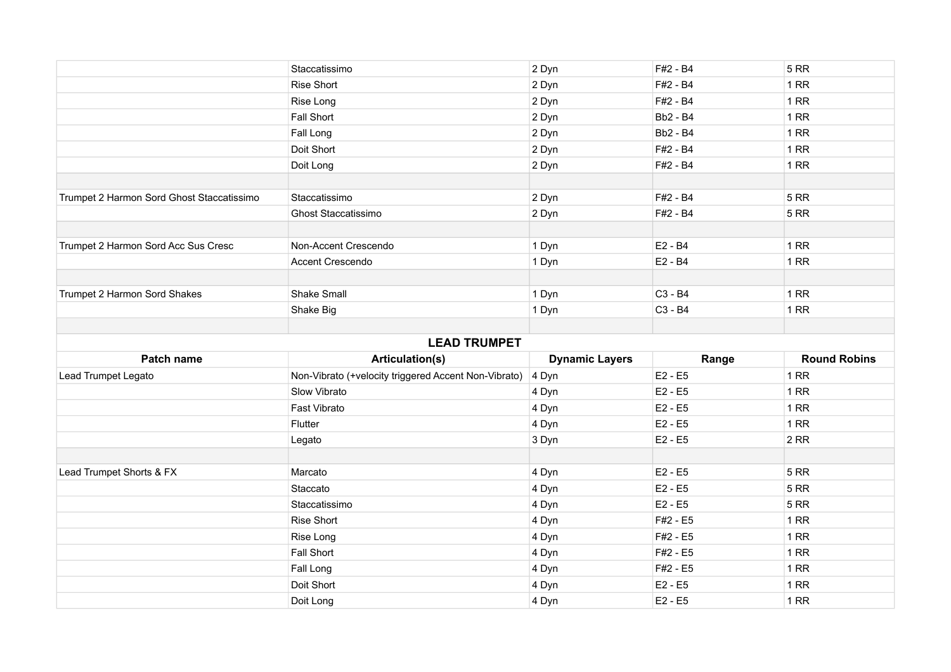|                                           | Staccatissimo                                        | 2 Dyn                 | F#2 - B4        | <b>5 RR</b>         |
|-------------------------------------------|------------------------------------------------------|-----------------------|-----------------|---------------------|
|                                           | <b>Rise Short</b>                                    | 2 Dyn                 | F#2 - B4        | 1RR                 |
|                                           | Rise Long                                            | 2 Dyn                 | F#2 - B4        | 1RR                 |
|                                           | Fall Short                                           | 2 Dyn                 | <b>Bb2 - B4</b> | 1RR                 |
|                                           | Fall Long                                            | 2 Dyn                 | <b>Bb2 - B4</b> | 1RR                 |
|                                           | Doit Short                                           | 2 Dyn                 | F#2 - B4        | 1RR                 |
|                                           | Doit Long                                            | 2 Dyn                 | F#2 - B4        | 1RR                 |
|                                           |                                                      |                       |                 |                     |
| Trumpet 2 Harmon Sord Ghost Staccatissimo | Staccatissimo                                        | 2 Dyn                 | F#2 - B4        | <b>5 RR</b>         |
|                                           | <b>Ghost Staccatissimo</b>                           | 2 Dyn                 | F#2 - B4        | <b>5 RR</b>         |
| Trumpet 2 Harmon Sord Acc Sus Cresc       | Non-Accent Crescendo                                 | 1 Dyn                 | E2 - B4         | 1RR                 |
|                                           | Accent Crescendo                                     | 1 Dyn                 | E2 - B4         | 1RR                 |
|                                           |                                                      |                       |                 |                     |
| Trumpet 2 Harmon Sord Shakes              | <b>Shake Small</b>                                   | 1 Dyn                 | C3 - B4         | 1RR                 |
|                                           | Shake Big                                            | 1 Dyn                 | C3 - B4         | 1RR                 |
|                                           |                                                      |                       |                 |                     |
|                                           | <b>LEAD TRUMPET</b>                                  |                       |                 |                     |
|                                           |                                                      | <b>Dynamic Layers</b> | Range           | <b>Round Robins</b> |
| Patch name                                | Articulation(s)                                      |                       |                 |                     |
| Lead Trumpet Legato                       | Non-Vibrato (+velocity triggered Accent Non-Vibrato) | 4 Dyn                 | E2 - E5         | 1RR                 |
|                                           | Slow Vibrato                                         | 4 Dyn                 | $E2 - E5$       | 1RR                 |
|                                           | Fast Vibrato                                         | 4 Dyn                 | $E2 - E5$       | 1RR                 |
|                                           | Flutter                                              | 4 Dyn                 | $E2 - E5$       | 1RR                 |
|                                           | Legato                                               | 3 Dyn                 | E2 - E5         | 2RR                 |
|                                           |                                                      |                       |                 |                     |
| Lead Trumpet Shorts & FX                  | Marcato                                              | 4 Dyn                 | E2 - E5         | <b>5 RR</b>         |
|                                           | Staccato                                             | 4 Dyn                 | $E2 - E5$       | <b>5 RR</b>         |
|                                           | Staccatissimo                                        | 4 Dyn                 | $E2 - E5$       | <b>5 RR</b>         |
|                                           | <b>Rise Short</b>                                    | 4 Dyn                 | F#2 - E5        | 1RR                 |
|                                           | Rise Long                                            | 4 Dyn                 | F#2 - E5        | 1RR                 |
|                                           | <b>Fall Short</b>                                    | 4 Dyn                 | F#2 - E5        | 1RR                 |
|                                           | Fall Long                                            | 4 Dyn                 | F#2 - E5        | 1RR                 |
|                                           | Doit Short                                           | 4 Dyn                 | $E2 - E5$       | 1RR                 |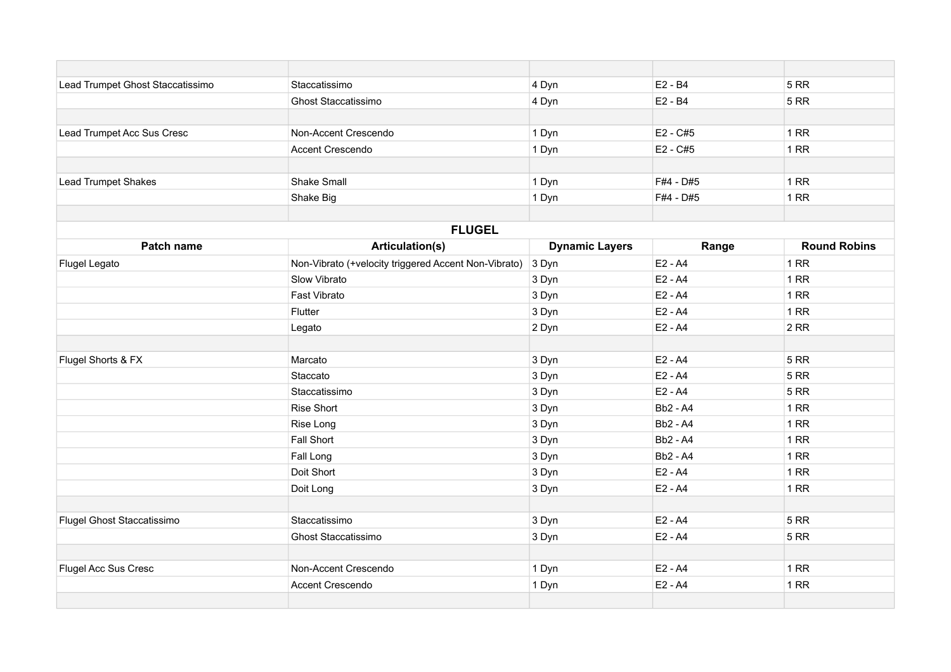| Lead Trumpet Ghost Staccatissimo | Staccatissimo                                        | 4 Dyn                 | $E2 - B4$       | <b>5 RR</b>         |
|----------------------------------|------------------------------------------------------|-----------------------|-----------------|---------------------|
|                                  | <b>Ghost Staccatissimo</b>                           | 4 Dyn                 | E2 - B4         | <b>5 RR</b>         |
|                                  |                                                      |                       |                 |                     |
| Lead Trumpet Acc Sus Cresc       | Non-Accent Crescendo                                 | 1 Dyn                 | $E2 - C#5$      | 1RR                 |
|                                  | Accent Crescendo                                     | 1 Dyn                 | E2 - C#5        | 1RR                 |
|                                  |                                                      |                       |                 |                     |
| <b>Lead Trumpet Shakes</b>       | Shake Small                                          | 1 Dyn                 | F#4 - D#5       | 1RR                 |
|                                  | Shake Big                                            | 1 Dyn                 | F#4 - D#5       | 1RR                 |
|                                  |                                                      |                       |                 |                     |
|                                  | <b>FLUGEL</b>                                        |                       |                 |                     |
| Patch name                       | Articulation(s)                                      | <b>Dynamic Layers</b> | Range           | <b>Round Robins</b> |
| Flugel Legato                    | Non-Vibrato (+velocity triggered Accent Non-Vibrato) | 3 Dyn                 | $E2 - A4$       | 1RR                 |
|                                  | Slow Vibrato                                         | 3 Dyn                 | $E2 - A4$       | 1RR                 |
|                                  | Fast Vibrato                                         | 3 Dyn                 | E2 - A4         | 1RR                 |
|                                  | Flutter                                              | 3 Dyn                 | E2 - A4         | 1RR                 |
|                                  | Legato                                               | 2 Dyn                 | $E2 - A4$       | 2RR                 |
|                                  |                                                      |                       |                 |                     |
| Flugel Shorts & FX               | Marcato                                              | 3 Dyn                 | E2 - A4         | <b>5 RR</b>         |
|                                  | Staccato                                             | 3 Dyn                 | E2 - A4         | <b>5 RR</b>         |
|                                  | Staccatissimo                                        | 3 Dyn                 | $E2 - A4$       | <b>5 RR</b>         |
|                                  | <b>Rise Short</b>                                    | 3 Dyn                 | <b>Bb2 - A4</b> | 1RR                 |
|                                  | Rise Long                                            | 3 Dyn                 | <b>Bb2 - A4</b> | 1RR                 |
|                                  | <b>Fall Short</b>                                    | 3 Dyn                 | <b>Bb2 - A4</b> | 1RR                 |
|                                  | Fall Long                                            | 3 Dyn                 | <b>Bb2 - A4</b> | 1RR                 |
|                                  | Doit Short                                           | 3 Dyn                 | $E2 - A4$       | 1RR                 |
|                                  | Doit Long                                            | 3 Dyn                 | $E2 - A4$       | 1RR                 |
|                                  |                                                      |                       |                 |                     |
| Flugel Ghost Staccatissimo       | Staccatissimo                                        | 3 Dyn                 | $E2 - A4$       | <b>5 RR</b>         |
|                                  | <b>Ghost Staccatissimo</b>                           | 3 Dyn                 | $E2 - A4$       | <b>5 RR</b>         |
|                                  |                                                      |                       |                 |                     |
| Flugel Acc Sus Cresc             | Non-Accent Crescendo                                 | 1 Dyn                 | $E2 - A4$       | 1RR                 |
|                                  | Accent Crescendo                                     | 1 Dyn                 | E2 - A4         | 1RR                 |
|                                  |                                                      |                       |                 |                     |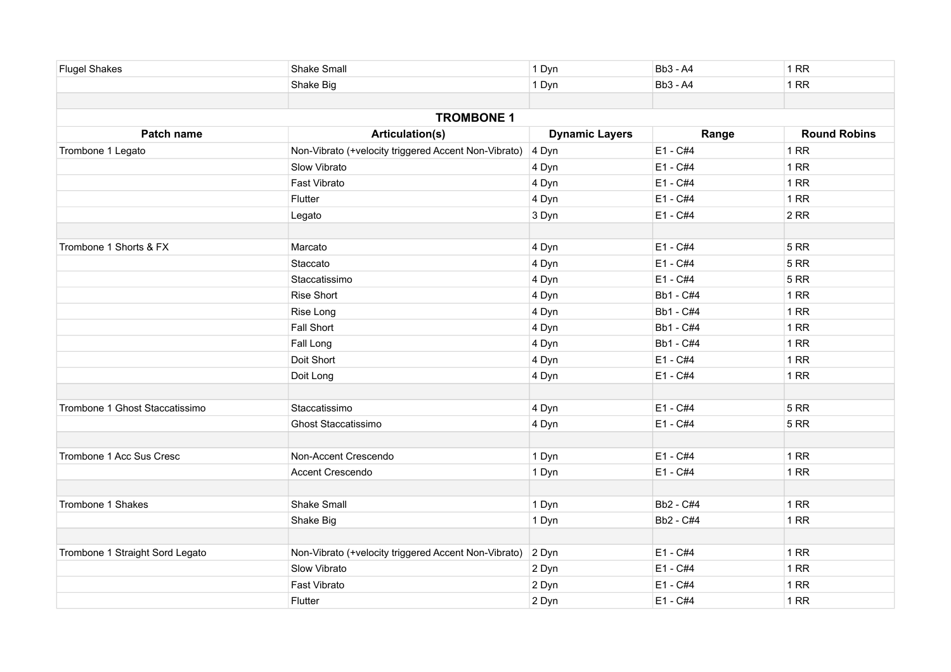| <b>Flugel Shakes</b>            | <b>Shake Small</b>                                   | 1 Dyn                 | <b>Bb3 - A4</b>  | 1 RR                |
|---------------------------------|------------------------------------------------------|-----------------------|------------------|---------------------|
|                                 | Shake Big                                            | 1 Dyn                 | <b>Bb3 - A4</b>  | 1 RR                |
|                                 |                                                      |                       |                  |                     |
|                                 | <b>TROMBONE 1</b>                                    |                       |                  |                     |
| Patch name                      | <b>Articulation(s)</b>                               | <b>Dynamic Layers</b> | Range            | <b>Round Robins</b> |
| Trombone 1 Legato               | Non-Vibrato (+velocity triggered Accent Non-Vibrato) | 4 Dyn                 | E1 - C#4         | 1RR                 |
|                                 | Slow Vibrato                                         | 4 Dyn                 | E1 - C#4         | 1 RR                |
|                                 | <b>Fast Vibrato</b>                                  | 4 Dyn                 | $E1 - C#4$       | 1RR                 |
|                                 | Flutter                                              | 4 Dyn                 | E1 - C#4         | 1 RR                |
|                                 | Legato                                               | 3 Dyn                 | E1 - C#4         | 2RR                 |
|                                 |                                                      |                       |                  |                     |
| Trombone 1 Shorts & FX          | Marcato                                              | 4 Dyn                 | E1 - C#4         | <b>5 RR</b>         |
|                                 | Staccato                                             | 4 Dyn                 | E1 - C#4         | <b>5 RR</b>         |
|                                 | Staccatissimo                                        | 4 Dyn                 | E1 - C#4         | <b>5 RR</b>         |
|                                 | <b>Rise Short</b>                                    | 4 Dyn                 | Bb1 - C#4        | 1 RR                |
|                                 | Rise Long                                            | 4 Dyn                 | Bb1 - C#4        | 1 RR                |
|                                 | Fall Short                                           | 4 Dyn                 | <b>Bb1 - C#4</b> | 1RR                 |
|                                 | Fall Long                                            | 4 Dyn                 | Bb1 - C#4        | 1RR                 |
|                                 | Doit Short                                           | 4 Dyn                 | E1 - C#4         | 1RR                 |
|                                 | Doit Long                                            | 4 Dyn                 | E1 - C#4         | 1 RR                |
|                                 |                                                      |                       |                  |                     |
| Trombone 1 Ghost Staccatissimo  | Staccatissimo                                        | 4 Dyn                 | E1 - C#4         | <b>5 RR</b>         |
|                                 | <b>Ghost Staccatissimo</b>                           | 4 Dyn                 | E1 - C#4         | <b>5 RR</b>         |
|                                 |                                                      |                       |                  |                     |
| Trombone 1 Acc Sus Cresc        | Non-Accent Crescendo                                 | 1 Dyn                 | E1 - C#4         | 1 RR                |
|                                 | Accent Crescendo                                     | 1 Dyn                 | E1 - C#4         | 1RR                 |
|                                 |                                                      |                       |                  |                     |
| Trombone 1 Shakes               | Shake Small                                          | 1 Dyn                 | Bb2 - C#4        | 1RR                 |
|                                 | Shake Big                                            | 1 Dyn                 | Bb2 - C#4        | <b>1 RR</b>         |
|                                 |                                                      |                       |                  |                     |
| Trombone 1 Straight Sord Legato | Non-Vibrato (+velocity triggered Accent Non-Vibrato) | 2 Dyn                 | E1 - C#4         | 1 RR                |
|                                 | Slow Vibrato                                         | 2 Dyn                 | E1 - C#4         | 1RR                 |
|                                 | Fast Vibrato                                         | 2 Dyn                 | E1 - C#4         | 1RR                 |
|                                 | Flutter                                              | 2 Dyn                 | E1 - C#4         | 1RR                 |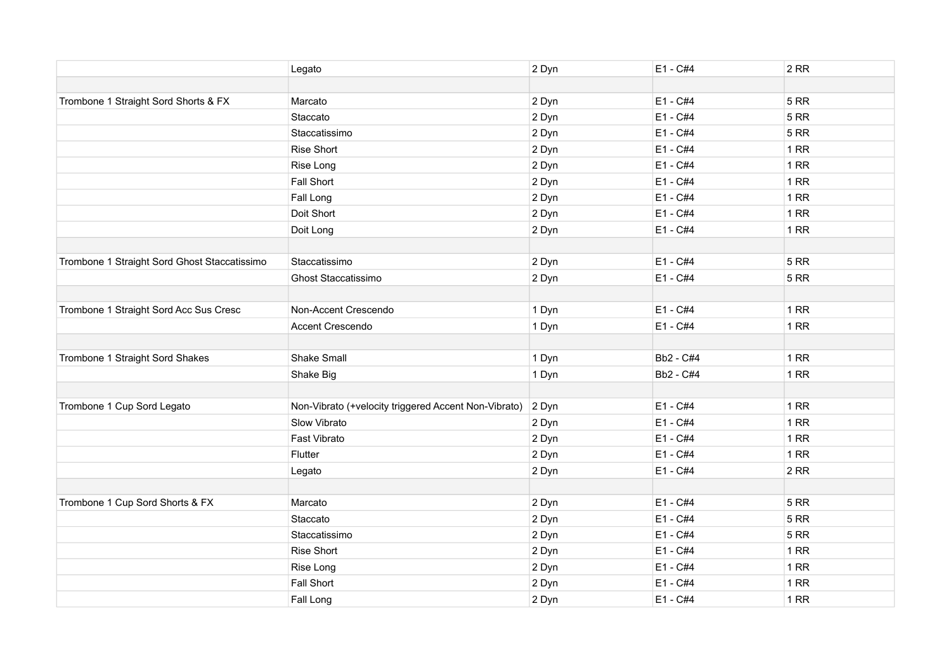|                                              | Legato                                               | 2 Dyn | E1 - C#4   | 2RR         |
|----------------------------------------------|------------------------------------------------------|-------|------------|-------------|
|                                              |                                                      |       |            |             |
| Trombone 1 Straight Sord Shorts & FX         | Marcato                                              | 2 Dyn | E1 - C#4   | <b>5 RR</b> |
|                                              | Staccato                                             | 2 Dyn | E1 - C#4   | <b>5 RR</b> |
|                                              | Staccatissimo                                        | 2 Dyn | E1 - C#4   | <b>5 RR</b> |
|                                              | <b>Rise Short</b>                                    | 2 Dyn | E1 - C#4   | 1RR         |
|                                              | Rise Long                                            | 2 Dyn | E1 - C#4   | 1RR         |
|                                              | Fall Short                                           | 2 Dyn | E1 - C#4   | 1 RR        |
|                                              | Fall Long                                            | 2 Dyn | $E1 - C#4$ | 1 RR        |
|                                              | Doit Short                                           | 2 Dyn | E1 - C#4   | 1RR         |
|                                              | Doit Long                                            | 2 Dyn | E1 - C#4   | 1RR         |
|                                              |                                                      |       |            |             |
| Trombone 1 Straight Sord Ghost Staccatissimo | Staccatissimo                                        | 2 Dyn | $E1 - C#4$ | <b>5 RR</b> |
|                                              | <b>Ghost Staccatissimo</b>                           | 2 Dyn | E1 - C#4   | <b>5 RR</b> |
|                                              |                                                      |       |            |             |
| Trombone 1 Straight Sord Acc Sus Cresc       | Non-Accent Crescendo                                 | 1 Dyn | E1 - C#4   | 1RR         |
|                                              | Accent Crescendo                                     | 1 Dyn | E1 - C#4   | 1RR         |
|                                              |                                                      |       |            |             |
| Trombone 1 Straight Sord Shakes              | Shake Small                                          | 1 Dyn | Bb2 - C#4  | 1RR         |
|                                              | Shake Big                                            | 1 Dyn | Bb2 - C#4  | 1RR         |
|                                              |                                                      |       |            |             |
| Trombone 1 Cup Sord Legato                   | Non-Vibrato (+velocity triggered Accent Non-Vibrato) | 2 Dyn | E1 - C#4   | 1RR         |
|                                              | Slow Vibrato                                         | 2 Dyn | E1 - C#4   | 1RR         |
|                                              | Fast Vibrato                                         | 2 Dyn | E1 - C#4   | 1 RR        |
|                                              | Flutter                                              | 2 Dyn | E1 - C#4   | 1RR         |
|                                              | Legato                                               | 2 Dyn | E1 - C#4   | 2RR         |
|                                              |                                                      |       |            |             |
| Trombone 1 Cup Sord Shorts & FX              | Marcato                                              | 2 Dyn | $E1 - C#4$ | <b>5 RR</b> |
|                                              | Staccato                                             | 2 Dyn | E1 - C#4   | <b>5 RR</b> |
|                                              | Staccatissimo                                        | 2 Dyn | E1 - C#4   | <b>5 RR</b> |
|                                              | Rise Short                                           | 2 Dyn | E1 - C#4   | 1 RR        |
|                                              | Rise Long                                            | 2 Dyn | E1 - C#4   | 1RR         |
|                                              | Fall Short                                           | 2 Dyn | E1 - C#4   | 1RR         |
|                                              | Fall Long                                            | 2 Dyn | E1 - C#4   | 1RR         |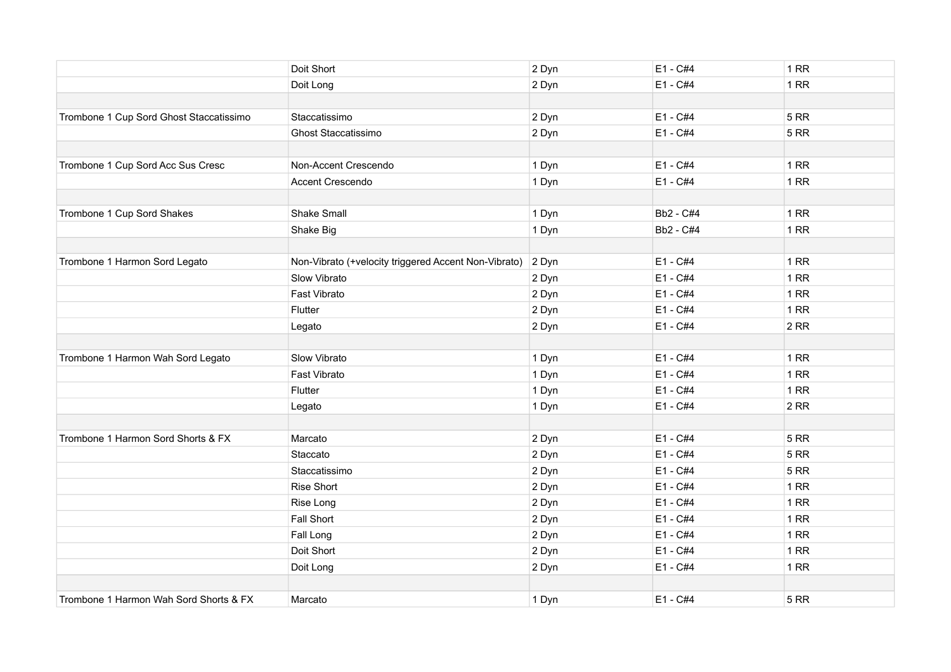|                                         | Doit Short                                           | 2 Dyn | E1 - C#4  | 1RR         |
|-----------------------------------------|------------------------------------------------------|-------|-----------|-------------|
|                                         | Doit Long                                            | 2 Dyn | E1 - C#4  | 1RR         |
|                                         |                                                      |       |           |             |
| Trombone 1 Cup Sord Ghost Staccatissimo | Staccatissimo                                        | 2 Dyn | E1 - C#4  | 5RR         |
|                                         | Ghost Staccatissimo                                  | 2 Dyn | E1 - C#4  | <b>5 RR</b> |
|                                         |                                                      |       |           |             |
| Trombone 1 Cup Sord Acc Sus Cresc       | Non-Accent Crescendo                                 | 1 Dyn | E1 - C#4  | 1RR         |
|                                         | Accent Crescendo                                     | 1 Dyn | E1 - C#4  | 1RR         |
|                                         |                                                      |       |           |             |
| Trombone 1 Cup Sord Shakes              | <b>Shake Small</b>                                   | 1 Dyn | Bb2 - C#4 | 1RR         |
|                                         | Shake Big                                            | 1 Dyn | Bb2 - C#4 | 1RR         |
|                                         |                                                      |       |           |             |
| Trombone 1 Harmon Sord Legato           | Non-Vibrato (+velocity triggered Accent Non-Vibrato) | 2 Dyn | E1 - C#4  | 1RR         |
|                                         | Slow Vibrato                                         | 2 Dyn | E1 - C#4  | 1RR         |
|                                         | Fast Vibrato                                         | 2 Dyn | E1 - C#4  | 1RR         |
|                                         | Flutter                                              | 2 Dyn | E1 - C#4  | 1RR         |
|                                         | Legato                                               | 2 Dyn | E1 - C#4  | 2RR         |
|                                         |                                                      |       |           |             |
| Trombone 1 Harmon Wah Sord Legato       | Slow Vibrato                                         | 1 Dyn | E1 - C#4  | 1RR         |
|                                         | Fast Vibrato                                         | 1 Dyn | E1 - C#4  | 1RR         |
|                                         | Flutter                                              | 1 Dyn | E1 - C#4  | 1RR         |
|                                         | Legato                                               | 1 Dyn | E1 - C#4  | 2RR         |
|                                         |                                                      |       |           |             |
| Trombone 1 Harmon Sord Shorts & FX      | Marcato                                              | 2 Dyn | E1 - C#4  | 5RR         |
|                                         | Staccato                                             | 2 Dyn | E1 - C#4  | 5RR         |
|                                         | Staccatissimo                                        | 2 Dyn | E1 - C#4  | <b>5 RR</b> |
|                                         | <b>Rise Short</b>                                    | 2 Dyn | E1 - C#4  | 1RR         |
|                                         | Rise Long                                            | 2 Dyn | E1 - C#4  | 1RR         |
|                                         | <b>Fall Short</b>                                    | 2 Dyn | E1 - C#4  | 1RR         |
|                                         | Fall Long                                            | 2 Dyn | E1 - C#4  | 1RR         |
|                                         | Doit Short                                           | 2 Dyn | E1 - C#4  | 1RR         |
|                                         | Doit Long                                            | 2 Dyn | E1 - C#4  | $1$ RR      |
|                                         |                                                      |       |           |             |
| Trombone 1 Harmon Wah Sord Shorts & FX  | Marcato                                              | 1 Dyn | E1 - C#4  | 5 RR        |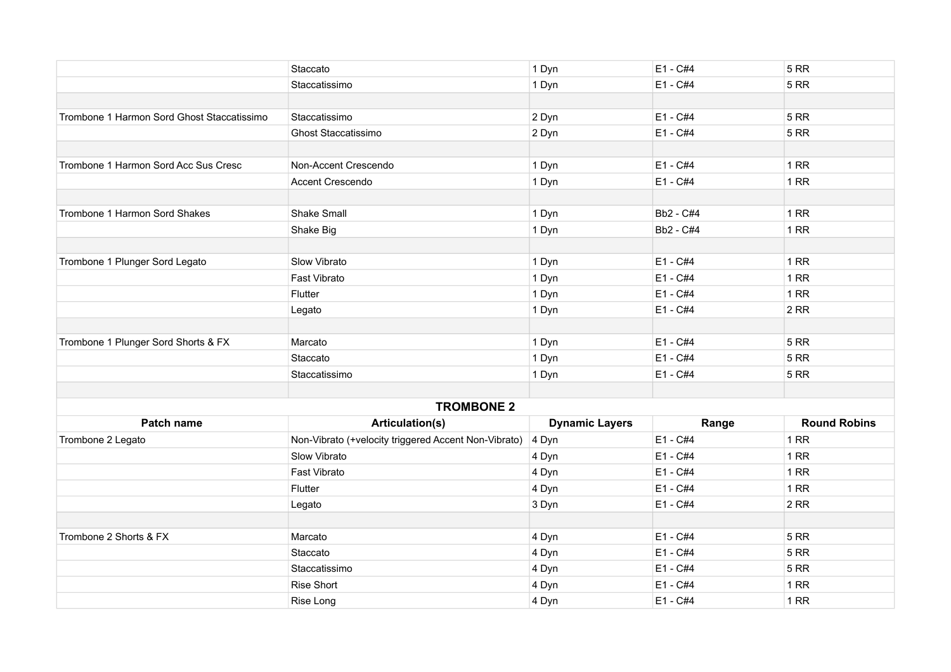|                                            | Staccato                                             | 1 Dyn                 | $E1 - C#4$ | <b>5 RR</b>         |
|--------------------------------------------|------------------------------------------------------|-----------------------|------------|---------------------|
|                                            | Staccatissimo                                        | 1 Dyn                 | $E1 - C#4$ | <b>5 RR</b>         |
|                                            |                                                      |                       |            |                     |
| Trombone 1 Harmon Sord Ghost Staccatissimo | Staccatissimo                                        | 2 Dyn                 | E1 - C#4   | <b>5 RR</b>         |
|                                            | <b>Ghost Staccatissimo</b>                           | 2 Dyn                 | E1 - C#4   | <b>5 RR</b>         |
|                                            |                                                      |                       |            |                     |
| Trombone 1 Harmon Sord Acc Sus Cresc       | Non-Accent Crescendo                                 | 1 Dyn                 | $E1 - C#4$ | 1RR                 |
|                                            | Accent Crescendo                                     | 1 Dyn                 | E1 - C#4   | 1RR                 |
|                                            |                                                      |                       |            |                     |
| Trombone 1 Harmon Sord Shakes              | <b>Shake Small</b>                                   | 1 Dyn                 | Bb2 - C#4  | 1RR                 |
|                                            | Shake Big                                            | 1 Dyn                 | Bb2 - C#4  | 1RR                 |
|                                            |                                                      |                       |            |                     |
| Trombone 1 Plunger Sord Legato             | Slow Vibrato                                         | 1 Dyn                 | E1 - C#4   | 1RR                 |
|                                            | Fast Vibrato                                         | 1 Dyn                 | E1 - C#4   | 1RR                 |
|                                            | Flutter                                              | 1 Dyn                 | E1 - C#4   | 1RR                 |
|                                            | Legato                                               | 1 Dyn                 | $E1 - C#4$ | 2RR                 |
|                                            |                                                      |                       |            |                     |
| Trombone 1 Plunger Sord Shorts & FX        | Marcato                                              | 1 Dyn                 | E1 - C#4   | <b>5 RR</b>         |
|                                            | Staccato                                             | 1 Dyn                 | $E1 - C#4$ | <b>5 RR</b>         |
|                                            | Staccatissimo                                        | 1 Dyn                 | E1 - C#4   | <b>5 RR</b>         |
|                                            |                                                      |                       |            |                     |
|                                            | <b>TROMBONE 2</b>                                    |                       |            |                     |
| Patch name                                 | Articulation(s)                                      | <b>Dynamic Layers</b> | Range      | <b>Round Robins</b> |
| Trombone 2 Legato                          | Non-Vibrato (+velocity triggered Accent Non-Vibrato) | 4 Dyn                 | E1 - C#4   | 1RR                 |
|                                            | Slow Vibrato                                         | 4 Dyn                 | E1 - C#4   | 1RR                 |
|                                            | Fast Vibrato                                         | 4 Dyn                 | E1 - C#4   | 1RR                 |
|                                            | Flutter                                              | 4 Dyn                 | E1 - C#4   | 1RR                 |
|                                            | Legato                                               | 3 Dyn                 | E1 - C#4   | 2RR                 |
|                                            |                                                      |                       |            |                     |
| Trombone 2 Shorts & FX                     | Marcato                                              | 4 Dyn                 | E1 - C#4   | <b>5 RR</b>         |
|                                            | Staccato                                             | 4 Dyn                 | E1 - C#4   | <b>5 RR</b>         |
|                                            | Staccatissimo                                        | 4 Dyn                 | E1 - C#4   | <b>5 RR</b>         |
|                                            | <b>Rise Short</b>                                    | 4 Dyn                 | E1 - C#4   | 1RR                 |
|                                            | Rise Long                                            | 4 Dyn                 | E1 - C#4   | 1RR                 |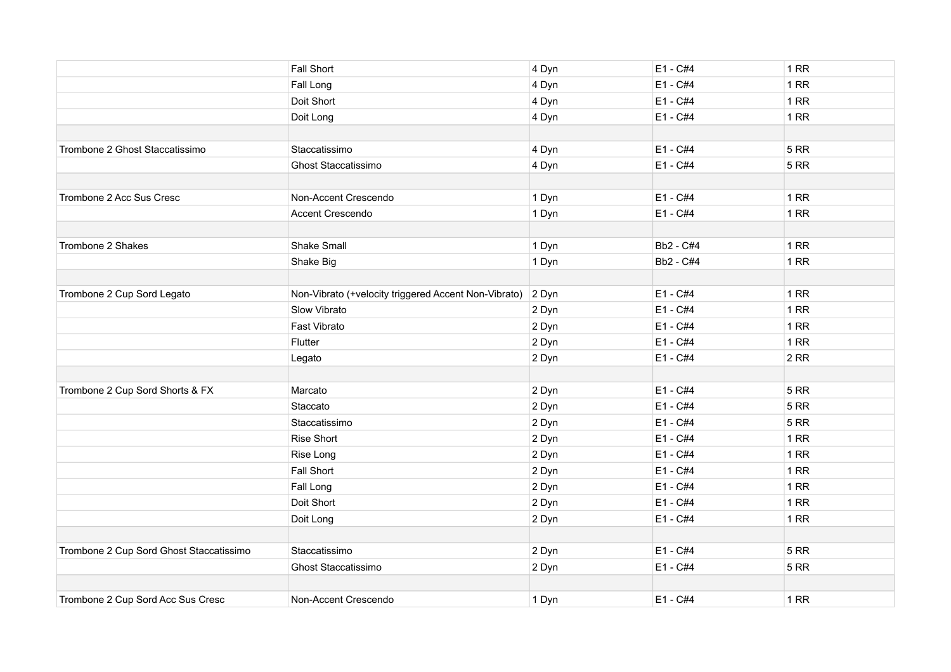|                                         | <b>Fall Short</b>                                    | 4 Dyn | E1 - C#4   | 1RR         |
|-----------------------------------------|------------------------------------------------------|-------|------------|-------------|
|                                         | Fall Long                                            | 4 Dyn | E1 - C#4   | 1RR         |
|                                         | Doit Short                                           | 4 Dyn | E1 - C#4   | 1RR         |
|                                         | Doit Long                                            | 4 Dyn | $E1 - C#4$ | 1RR         |
|                                         |                                                      |       |            |             |
| Trombone 2 Ghost Staccatissimo          | Staccatissimo                                        | 4 Dyn | E1 - C#4   | 5RR         |
|                                         | Ghost Staccatissimo                                  | 4 Dyn | $E1 - C#4$ | 5RR         |
|                                         |                                                      |       |            |             |
| Trombone 2 Acc Sus Cresc                | Non-Accent Crescendo                                 | 1 Dyn | $E1 - C#4$ | 1RR         |
|                                         | Accent Crescendo                                     | 1 Dyn | E1 - C#4   | 1RR         |
|                                         |                                                      |       |            |             |
| Trombone 2 Shakes                       | Shake Small                                          | 1 Dyn | Bb2 - C#4  | 1RR         |
|                                         | Shake Big                                            | 1 Dyn | Bb2 - C#4  | 1RR         |
|                                         |                                                      |       |            |             |
| Trombone 2 Cup Sord Legato              | Non-Vibrato (+velocity triggered Accent Non-Vibrato) | 2 Dyn | E1 - C#4   | 1RR         |
|                                         | Slow Vibrato                                         | 2 Dyn | E1 - C#4   | 1RR         |
|                                         | Fast Vibrato                                         | 2 Dyn | $E1 - C#4$ | 1RR         |
|                                         | Flutter                                              | 2 Dyn | E1 - C#4   | 1RR         |
|                                         | Legato                                               | 2 Dyn | E1 - C#4   | 2RR         |
|                                         |                                                      |       |            |             |
| Trombone 2 Cup Sord Shorts & FX         | Marcato                                              | 2 Dyn | E1 - C#4   | <b>5 RR</b> |
|                                         | Staccato                                             | 2 Dyn | E1 - C#4   | 5 RR        |
|                                         | Staccatissimo                                        | 2 Dyn | E1 - C#4   | <b>5 RR</b> |
|                                         | <b>Rise Short</b>                                    | 2 Dyn | E1 - C#4   | 1RR         |
|                                         | Rise Long                                            | 2 Dyn | E1 - C#4   | 1RR         |
|                                         | <b>Fall Short</b>                                    | 2 Dyn | E1 - C#4   | 1RR         |
|                                         | Fall Long                                            | 2 Dyn | E1 - C#4   | 1RR         |
|                                         | Doit Short                                           | 2 Dyn | E1 - C#4   | 1RR         |
|                                         | Doit Long                                            | 2 Dyn | E1 - C#4   | 1RR         |
|                                         |                                                      |       |            |             |
| Trombone 2 Cup Sord Ghost Staccatissimo | Staccatissimo                                        | 2 Dyn | E1 - C#4   | 5RR         |
|                                         | <b>Ghost Staccatissimo</b>                           | 2 Dyn | E1 - C#4   | <b>5 RR</b> |
|                                         |                                                      |       |            |             |
| Trombone 2 Cup Sord Acc Sus Cresc       | Non-Accent Crescendo                                 | 1 Dyn | E1 - C#4   | 1RR         |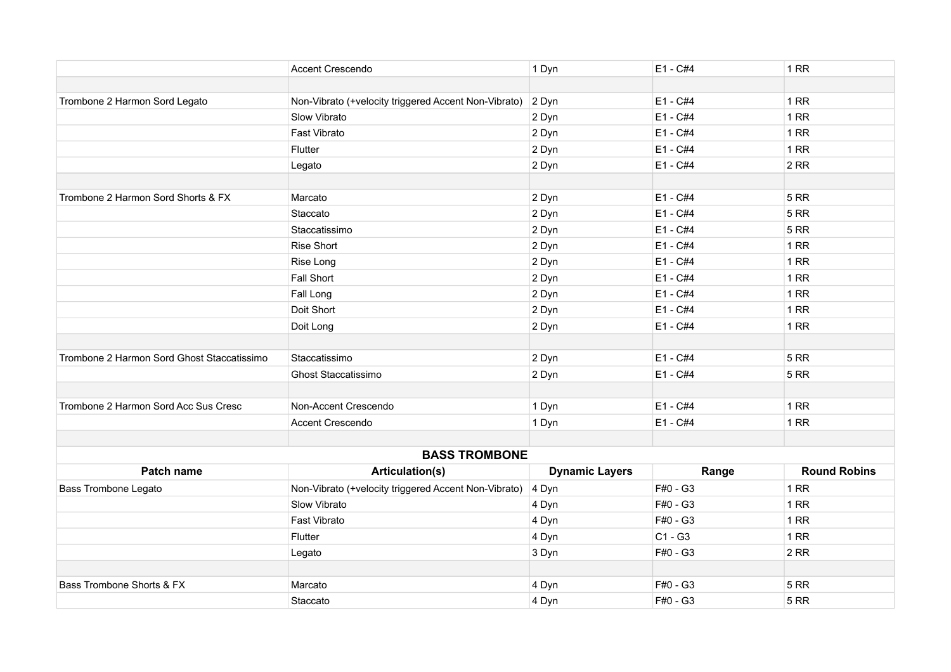|                                            | <b>Accent Crescendo</b>                              | 1 Dyn                 | E1 - C#4   | <b>1 RR</b>         |
|--------------------------------------------|------------------------------------------------------|-----------------------|------------|---------------------|
|                                            |                                                      |                       |            |                     |
| Trombone 2 Harmon Sord Legato              | Non-Vibrato (+velocity triggered Accent Non-Vibrato) | 2 Dyn                 | E1 - C#4   | 1 RR                |
|                                            | Slow Vibrato                                         | 2 Dyn                 | E1 - C#4   | 1 RR                |
|                                            | Fast Vibrato                                         | 2 Dyn                 | E1 - C#4   | 1 RR                |
|                                            | Flutter                                              | 2 Dyn                 | E1 - C#4   | 1 RR                |
|                                            | Legato                                               | 2 Dyn                 | E1 - C#4   | 2RR                 |
|                                            |                                                      |                       |            |                     |
| Trombone 2 Harmon Sord Shorts & FX         | Marcato                                              | 2 Dyn                 | E1 - C#4   | <b>5 RR</b>         |
|                                            | Staccato                                             | 2 Dyn                 | E1 - C#4   | <b>5 RR</b>         |
|                                            | Staccatissimo                                        | 2 Dyn                 | E1 - C#4   | <b>5 RR</b>         |
|                                            | <b>Rise Short</b>                                    | 2 Dyn                 | E1 - C#4   | 1RR                 |
|                                            | Rise Long                                            | 2 Dyn                 | E1 - C#4   | 1 RR                |
|                                            | <b>Fall Short</b>                                    | 2 Dyn                 | E1 - C#4   | 1RR                 |
|                                            | Fall Long                                            | 2 Dyn                 | E1 - C#4   | <b>1 RR</b>         |
|                                            | Doit Short                                           | 2 Dyn                 | E1 - C#4   | 1RR                 |
|                                            | Doit Long                                            | 2 Dyn                 | E1 - C#4   | <b>1 RR</b>         |
|                                            |                                                      |                       |            |                     |
| Trombone 2 Harmon Sord Ghost Staccatissimo | Staccatissimo                                        | 2 Dyn                 | $E1 - C#4$ | <b>5 RR</b>         |
|                                            | <b>Ghost Staccatissimo</b>                           | 2 Dyn                 | E1 - C#4   | <b>5 RR</b>         |
|                                            |                                                      |                       |            |                     |
| Trombone 2 Harmon Sord Acc Sus Cresc       | Non-Accent Crescendo                                 | 1 Dyn                 | E1 - C#4   | 1RR                 |
|                                            | Accent Crescendo                                     | 1 Dyn                 | E1 - C#4   | 1RR                 |
|                                            |                                                      |                       |            |                     |
|                                            | <b>BASS TROMBONE</b>                                 |                       |            |                     |
| Patch name                                 | <b>Articulation(s)</b>                               | <b>Dynamic Layers</b> | Range      | <b>Round Robins</b> |
| <b>Bass Trombone Legato</b>                | Non-Vibrato (+velocity triggered Accent Non-Vibrato) | 4 Dyn                 | F#0 - G3   | 1 RR                |
|                                            | Slow Vibrato                                         | 4 Dyn                 | F#0 - G3   | <b>1 RR</b>         |
|                                            | Fast Vibrato                                         | 4 Dyn                 | F#0 - G3   | <b>1 RR</b>         |
|                                            | Flutter                                              | 4 Dyn                 | $C1 - G3$  | 1RR                 |
|                                            | Legato                                               | 3 Dyn                 | F#0 - G3   | 2RR                 |
|                                            |                                                      |                       |            |                     |
| Bass Trombone Shorts & FX                  | Marcato                                              | 4 Dyn                 | F#0 - G3   | <b>5 RR</b>         |
|                                            | Staccato                                             | 4 Dyn                 | F#0 - G3   | <b>5 RR</b>         |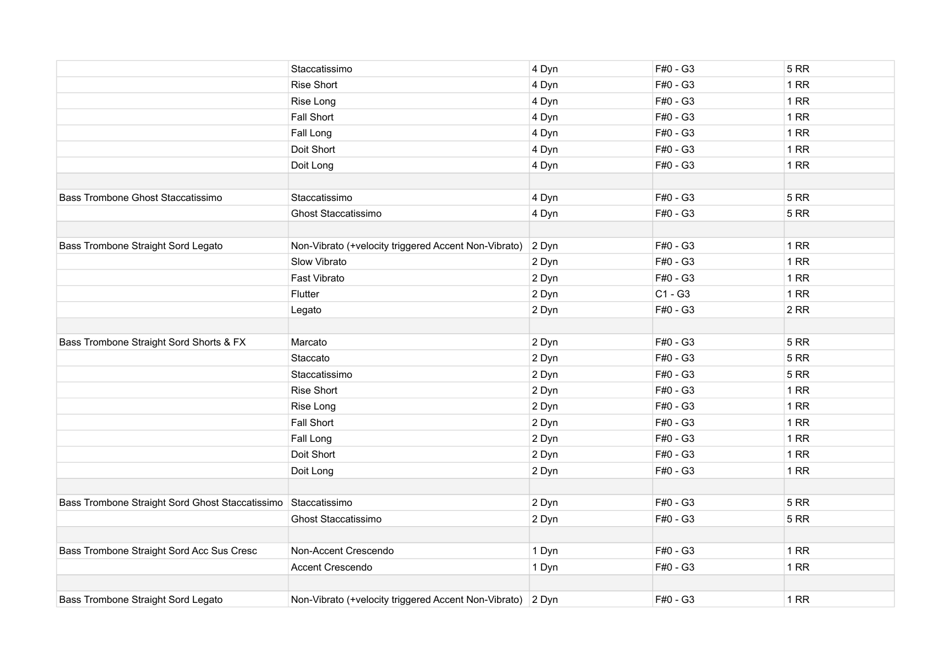|                                                 | Staccatissimo                                        | 4 Dyn | F#0 - G3  | <b>5 RR</b> |
|-------------------------------------------------|------------------------------------------------------|-------|-----------|-------------|
|                                                 | <b>Rise Short</b>                                    | 4 Dyn | F#0 - G3  | 1 RR        |
|                                                 | Rise Long                                            | 4 Dyn | F#0 - G3  | 1 RR        |
|                                                 | Fall Short                                           | 4 Dyn | F#0 - G3  | 1RR         |
|                                                 | Fall Long                                            | 4 Dyn | F#0 - G3  | 1RR         |
|                                                 | Doit Short                                           | 4 Dyn | F#0 - G3  | 1RR         |
|                                                 | Doit Long                                            | 4 Dyn | F#0 - G3  | 1RR         |
|                                                 |                                                      |       |           |             |
| Bass Trombone Ghost Staccatissimo               | Staccatissimo                                        | 4 Dyn | F#0 - G3  | <b>5 RR</b> |
|                                                 | <b>Ghost Staccatissimo</b>                           | 4 Dyn | F#0 - G3  | <b>5 RR</b> |
|                                                 |                                                      |       |           |             |
| Bass Trombone Straight Sord Legato              | Non-Vibrato (+velocity triggered Accent Non-Vibrato) | 2 Dyn | F#0 - G3  | 1 RR        |
|                                                 | Slow Vibrato                                         | 2 Dyn | F#0 - G3  | 1 RR        |
|                                                 | Fast Vibrato                                         | 2 Dyn | F#0 - G3  | 1RR         |
|                                                 | Flutter                                              | 2 Dyn | $C1 - G3$ | 1RR         |
|                                                 | Legato                                               | 2 Dyn | F#0 - G3  | 2RR         |
|                                                 |                                                      |       |           |             |
| Bass Trombone Straight Sord Shorts & FX         | Marcato                                              | 2 Dyn | F#0 - G3  | <b>5 RR</b> |
|                                                 | Staccato                                             | 2 Dyn | F#0 - G3  | <b>5 RR</b> |
|                                                 | Staccatissimo                                        | 2 Dyn | F#0 - G3  | <b>5 RR</b> |
|                                                 | Rise Short                                           | 2 Dyn | F#0 - G3  | 1RR         |
|                                                 | Rise Long                                            | 2 Dyn | F#0 - G3  | 1 RR        |
|                                                 | Fall Short                                           | 2 Dyn | F#0 - G3  | 1RR         |
|                                                 | Fall Long                                            | 2 Dyn | F#0 - G3  | 1 RR        |
|                                                 | Doit Short                                           | 2 Dyn | F#0 - G3  | 1RR         |
|                                                 | Doit Long                                            | 2 Dyn | F#0 - G3  | 1RR         |
|                                                 |                                                      |       |           |             |
| Bass Trombone Straight Sord Ghost Staccatissimo | Staccatissimo                                        | 2 Dyn | F#0 - G3  | <b>5 RR</b> |
|                                                 | <b>Ghost Staccatissimo</b>                           | 2 Dyn | F#0 - G3  | <b>5 RR</b> |
| Bass Trombone Straight Sord Acc Sus Cresc       | Non-Accent Crescendo                                 | 1 Dyn | F#0 - G3  | 1RR         |
|                                                 | Accent Crescendo                                     | 1 Dyn | F#0 - G3  | 1RR         |
|                                                 |                                                      |       |           |             |
| Bass Trombone Straight Sord Legato              | Non-Vibrato (+velocity triggered Accent Non-Vibrato) | 2 Dyn | F#0 - G3  | 1RR         |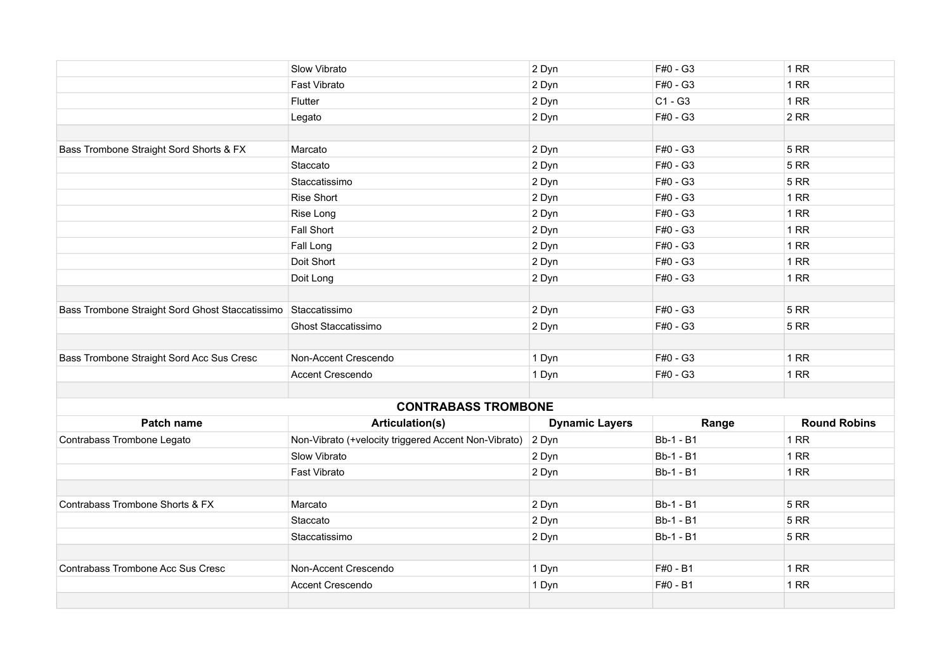|                                                 | Slow Vibrato                                         | 2 Dyn                 | F#0 - G3         | 1RR                 |
|-------------------------------------------------|------------------------------------------------------|-----------------------|------------------|---------------------|
|                                                 | Fast Vibrato                                         | 2 Dyn                 | F#0 - G3         | 1RR                 |
|                                                 | Flutter                                              | 2 Dyn                 | $C1 - G3$        | 1RR                 |
|                                                 | Legato                                               | 2 Dyn                 | F#0 - G3         | 2RR                 |
|                                                 |                                                      |                       |                  |                     |
| Bass Trombone Straight Sord Shorts & FX         | Marcato                                              | 2 Dyn                 | F#0 - G3         | <b>5 RR</b>         |
|                                                 | Staccato                                             | 2 Dyn                 | F#0 - G3         | <b>5 RR</b>         |
|                                                 | Staccatissimo                                        | 2 Dyn                 | F#0 - G3         | <b>5 RR</b>         |
|                                                 | <b>Rise Short</b>                                    | 2 Dyn                 | F#0 - G3         | 1RR                 |
|                                                 | Rise Long                                            | 2 Dyn                 | F#0 - G3         | 1RR                 |
|                                                 | <b>Fall Short</b>                                    | 2 Dyn                 | F#0 - G3         | 1RR                 |
|                                                 | Fall Long                                            | 2 Dyn                 | F#0 - G3         | 1RR                 |
|                                                 | Doit Short                                           | 2 Dyn                 | F#0 - G3         | 1RR                 |
|                                                 | Doit Long                                            | 2 Dyn                 | F#0 - G3         | 1RR                 |
|                                                 |                                                      |                       |                  |                     |
| Bass Trombone Straight Sord Ghost Staccatissimo | Staccatissimo                                        | 2 Dyn                 | F#0 - G3         | <b>5 RR</b>         |
|                                                 | Ghost Staccatissimo                                  | 2 Dyn                 | F#0 - G3         | 5RR                 |
|                                                 |                                                      |                       |                  |                     |
| Bass Trombone Straight Sord Acc Sus Cresc       | Non-Accent Crescendo                                 | 1 Dyn                 | F#0 - G3         | 1RR                 |
|                                                 | Accent Crescendo                                     | 1 Dyn                 | F#0 - G3         | 1RR                 |
|                                                 |                                                      |                       |                  |                     |
|                                                 | <b>CONTRABASS TROMBONE</b>                           |                       |                  |                     |
| Patch name                                      | <b>Articulation(s)</b>                               | <b>Dynamic Layers</b> | Range            | <b>Round Robins</b> |
| Contrabass Trombone Legato                      | Non-Vibrato (+velocity triggered Accent Non-Vibrato) | 2 Dyn                 | <b>Bb-1 - B1</b> | 1RR                 |
|                                                 | Slow Vibrato                                         | 2 Dyn                 | Bb-1 - B1        | 1RR                 |
|                                                 | Fast Vibrato                                         | 2 Dyn                 | <b>Bb-1 - B1</b> | 1RR                 |
|                                                 |                                                      |                       |                  |                     |
| Contrabass Trombone Shorts & FX                 | Marcato                                              | 2 Dyn                 | <b>Bb-1 - B1</b> | <b>5 RR</b>         |
|                                                 | Staccato                                             | 2 Dyn                 | <b>Bb-1 - B1</b> | <b>5 RR</b>         |
|                                                 | Staccatissimo                                        | 2 Dyn                 | Bb-1 - B1        | <b>5 RR</b>         |
|                                                 |                                                      |                       |                  |                     |
| Contrabass Trombone Acc Sus Cresc               | Non-Accent Crescendo                                 | 1 Dyn                 | F#0 - B1         | 1RR                 |
|                                                 | Accent Crescendo                                     | 1 Dyn                 | F#0 - B1         | <b>1 RR</b>         |
|                                                 |                                                      |                       |                  |                     |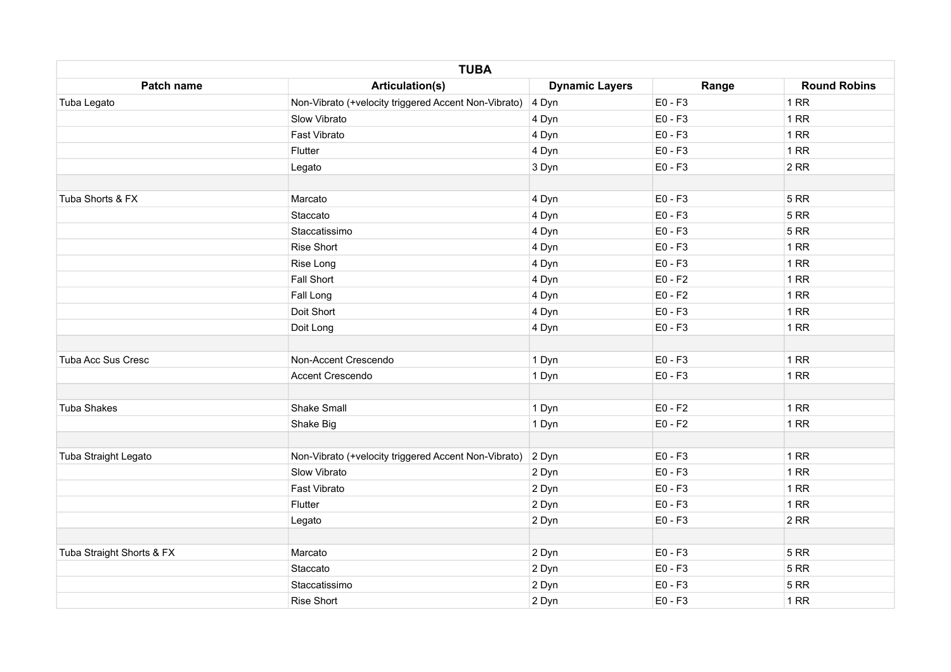|                           | <b>TUBA</b>                                                |                       |           |                     |
|---------------------------|------------------------------------------------------------|-----------------------|-----------|---------------------|
| Patch name                | <b>Articulation(s)</b>                                     | <b>Dynamic Layers</b> | Range     | <b>Round Robins</b> |
| Tuba Legato               | Non-Vibrato (+velocity triggered Accent Non-Vibrato) 4 Dyn |                       | $E0 - F3$ | 1RR                 |
|                           | Slow Vibrato                                               | 4 Dyn                 | $E0 - F3$ | 1RR                 |
|                           | Fast Vibrato                                               | 4 Dyn                 | E0 - F3   | 1RR                 |
|                           | Flutter                                                    | 4 Dyn                 | $E0 - F3$ | 1RR                 |
|                           | Legato                                                     | 3 Dyn                 | E0 - F3   | 2RR                 |
|                           |                                                            |                       |           |                     |
| Tuba Shorts & FX          | Marcato                                                    | 4 Dyn                 | $E0 - F3$ | <b>5 RR</b>         |
|                           | Staccato                                                   | 4 Dyn                 | E0 - F3   | 5 RR                |
|                           | Staccatissimo                                              | 4 Dyn                 | E0 - F3   | 5 RR                |
|                           | <b>Rise Short</b>                                          | 4 Dyn                 | $E0 - F3$ | 1RR                 |
|                           | Rise Long                                                  | 4 Dyn                 | $E0 - F3$ | 1RR                 |
|                           | <b>Fall Short</b>                                          | 4 Dyn                 | $E0 - F2$ | 1RR                 |
|                           | Fall Long                                                  | 4 Dyn                 | $E0 - F2$ | 1RR                 |
|                           | Doit Short                                                 | 4 Dyn                 | E0 - F3   | 1RR                 |
|                           | Doit Long                                                  | 4 Dyn                 | E0 - F3   | 1RR                 |
|                           |                                                            |                       |           |                     |
| Tuba Acc Sus Cresc        | Non-Accent Crescendo                                       | 1 Dyn                 | $E0 - F3$ | $1$ RR              |
|                           | Accent Crescendo                                           | 1 Dyn                 | E0 - F3   | 1RR                 |
| Tuba Shakes               | <b>Shake Small</b>                                         | 1 Dyn                 | $E0 - F2$ | 1RR                 |
|                           |                                                            |                       |           |                     |
|                           | Shake Big                                                  | 1 Dyn                 | $E0 - F2$ | 1RR                 |
| Tuba Straight Legato      | Non-Vibrato (+velocity triggered Accent Non-Vibrato)       | 2 Dyn                 | $E0 - F3$ | 1RR                 |
|                           | Slow Vibrato                                               | 2 Dyn                 | E0 - F3   | 1RR                 |
|                           | Fast Vibrato                                               | 2 Dyn                 | E0 - F3   | 1RR                 |
|                           | Flutter                                                    | 2 Dyn                 | E0 - F3   | 1RR                 |
|                           | Legato                                                     | 2 Dyn                 | E0 - F3   | 2RR                 |
|                           |                                                            |                       |           |                     |
| Tuba Straight Shorts & FX | Marcato                                                    | 2 Dyn                 | E0 - F3   | 5 RR                |
|                           | Staccato                                                   | 2 Dyn                 | E0 - F3   | 5 RR                |
|                           | Staccatissimo                                              | 2 Dyn                 | E0 - F3   | 5 RR                |
|                           | <b>Rise Short</b>                                          | 2 Dyn                 | E0 - F3   | 1RR                 |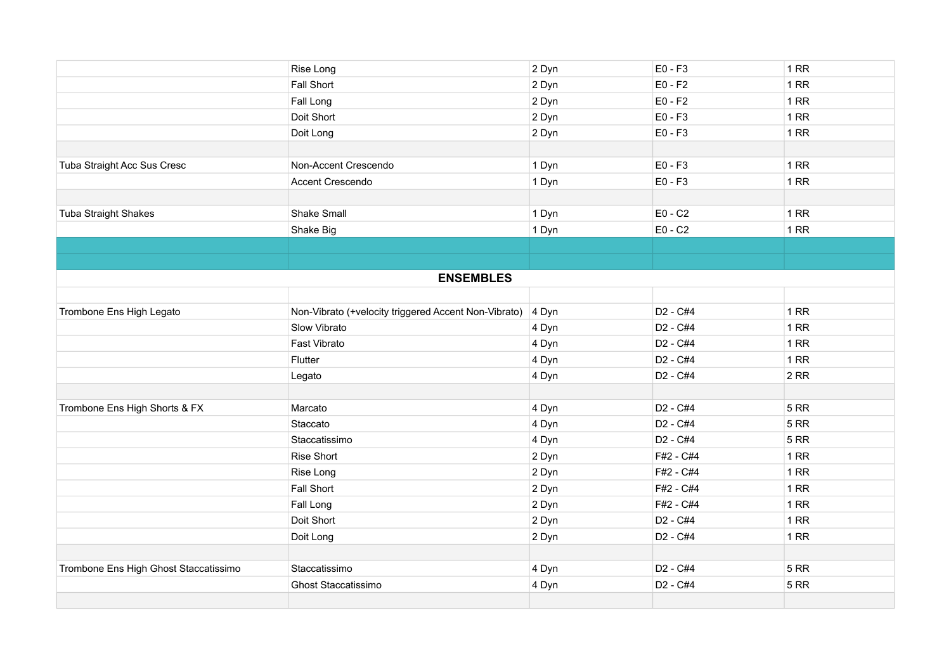|                                       | Rise Long                                            | 2 Dyn | $E0 - F3$                        | 1RR         |
|---------------------------------------|------------------------------------------------------|-------|----------------------------------|-------------|
|                                       | Fall Short                                           | 2 Dyn | $E0 - F2$                        | 1RR         |
|                                       | Fall Long                                            | 2 Dyn | $E0 - F2$                        | 1RR         |
|                                       | Doit Short                                           | 2 Dyn | $E0 - F3$                        | 1RR         |
|                                       | Doit Long                                            | 2 Dyn | E0 - F3                          | 1RR         |
|                                       |                                                      |       |                                  |             |
| Tuba Straight Acc Sus Cresc           | Non-Accent Crescendo                                 | 1 Dyn | $E0 - F3$                        | 1RR         |
|                                       | Accent Crescendo                                     | 1 Dyn | $E0 - F3$                        | 1RR         |
|                                       |                                                      |       |                                  |             |
| <b>Tuba Straight Shakes</b>           | <b>Shake Small</b>                                   | 1 Dyn | $E0 - C2$                        | 1RR         |
|                                       | Shake Big                                            | 1 Dyn | $E0 - C2$                        | 1RR         |
|                                       |                                                      |       |                                  |             |
|                                       |                                                      |       |                                  |             |
|                                       | <b>ENSEMBLES</b>                                     |       |                                  |             |
|                                       |                                                      |       |                                  |             |
| Trombone Ens High Legato              | Non-Vibrato (+velocity triggered Accent Non-Vibrato) | 4 Dyn | D2 - C#4                         | 1RR         |
|                                       | Slow Vibrato                                         | 4 Dyn | D <sub>2</sub> - C <sub>#4</sub> | 1RR         |
|                                       | Fast Vibrato                                         | 4 Dyn | D <sub>2</sub> - C#4             | 1RR         |
|                                       | Flutter                                              | 4 Dyn | D <sub>2</sub> - C#4             | 1RR         |
|                                       | Legato                                               | 4 Dyn | D2 - C#4                         | 2RR         |
|                                       |                                                      |       |                                  |             |
| Trombone Ens High Shorts & FX         | Marcato                                              | 4 Dyn | D <sub>2</sub> - C#4             | <b>5 RR</b> |
|                                       | Staccato                                             | 4 Dyn | D <sub>2</sub> - C#4             | 5RR         |
|                                       | Staccatissimo                                        | 4 Dyn | D <sub>2</sub> - C#4             | <b>5 RR</b> |
|                                       | <b>Rise Short</b>                                    | 2 Dyn | F#2 - C#4                        | 1RR         |
|                                       | Rise Long                                            | 2 Dyn | F#2 - C#4                        | 1RR         |
|                                       | Fall Short                                           | 2 Dyn | F#2 - C#4                        | 1RR         |
|                                       | Fall Long                                            | 2 Dyn | F#2 - C#4                        | 1RR         |
|                                       | Doit Short                                           | 2 Dyn | D <sub>2</sub> - C#4             | 1RR         |
|                                       | Doit Long                                            | 2 Dyn | D2 - C#4                         | 1RR         |
|                                       |                                                      |       |                                  |             |
| Trombone Ens High Ghost Staccatissimo | Staccatissimo                                        | 4 Dyn | D <sub>2</sub> - C#4             | <b>5 RR</b> |
|                                       | Ghost Staccatissimo                                  | 4 Dyn | D <sub>2</sub> - C#4             | <b>5 RR</b> |
|                                       |                                                      |       |                                  |             |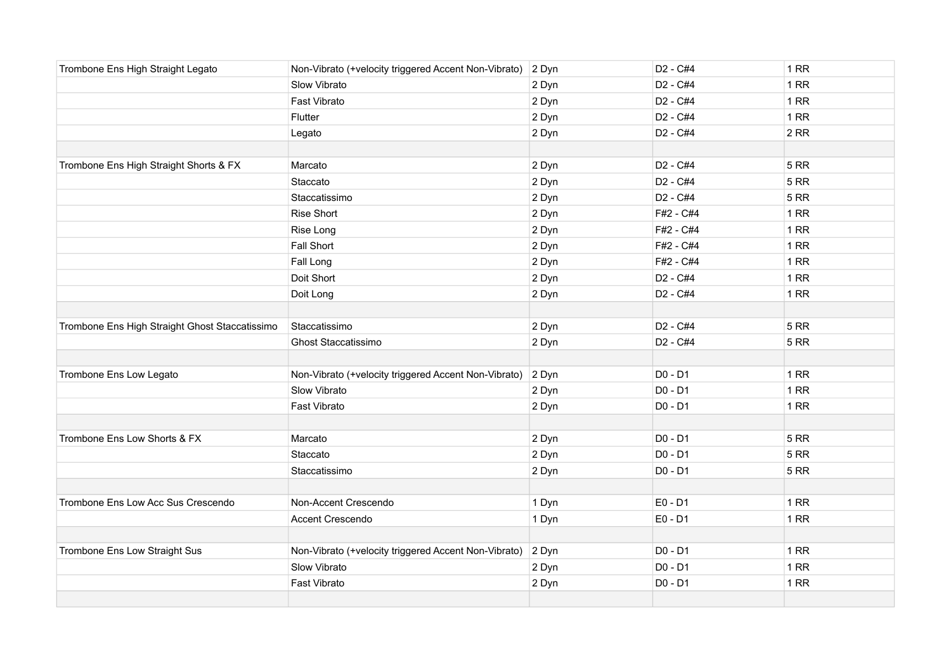| Trombone Ens High Straight Legato              | Non-Vibrato (+velocity triggered Accent Non-Vibrato) | 2 Dyn | D <sub>2</sub> - C <sub>#4</sub> | 1RR         |
|------------------------------------------------|------------------------------------------------------|-------|----------------------------------|-------------|
|                                                | Slow Vibrato                                         | 2 Dyn | D <sub>2</sub> - C#4             | 1RR         |
|                                                | Fast Vibrato                                         | 2 Dyn | D <sub>2</sub> - C <sub>#4</sub> | 1RR         |
|                                                | Flutter                                              | 2 Dyn | D <sub>2</sub> - C <sub>#4</sub> | 1RR         |
|                                                | Legato                                               | 2 Dyn | D <sub>2</sub> - C <sub>#4</sub> | 2RR         |
|                                                |                                                      |       |                                  |             |
| Trombone Ens High Straight Shorts & FX         | Marcato                                              | 2 Dyn | D <sub>2</sub> - C <sub>#4</sub> | <b>5 RR</b> |
|                                                | Staccato                                             | 2 Dyn | D <sub>2</sub> - C <sub>#4</sub> | <b>5 RR</b> |
|                                                | Staccatissimo                                        | 2 Dyn | D <sub>2</sub> - C <sub>#4</sub> | <b>5 RR</b> |
|                                                | Rise Short                                           | 2 Dyn | F#2 - C#4                        | 1RR         |
|                                                | Rise Long                                            | 2 Dyn | F#2 - C#4                        | 1RR         |
|                                                | Fall Short                                           | 2 Dyn | F#2 - C#4                        | 1RR         |
|                                                | Fall Long                                            | 2 Dyn | F#2 - C#4                        | 1RR         |
|                                                | Doit Short                                           | 2 Dyn | D <sub>2</sub> - C <sub>#4</sub> | 1RR         |
|                                                | Doit Long                                            | 2 Dyn | D2 - C#4                         | 1RR         |
|                                                |                                                      |       |                                  |             |
| Trombone Ens High Straight Ghost Staccatissimo | Staccatissimo                                        | 2 Dyn | D <sub>2</sub> - C#4             | <b>5 RR</b> |
|                                                | Ghost Staccatissimo                                  | 2 Dyn | D <sub>2</sub> - C#4             | <b>5 RR</b> |
|                                                |                                                      |       |                                  |             |
| Trombone Ens Low Legato                        | Non-Vibrato (+velocity triggered Accent Non-Vibrato) | 2 Dyn | $D0 - D1$                        | 1RR         |
|                                                | Slow Vibrato                                         | 2 Dyn | D0 - D1                          | 1RR         |
|                                                | Fast Vibrato                                         | 2 Dyn | D0 - D1                          | 1RR         |
|                                                |                                                      |       |                                  |             |
| Trombone Ens Low Shorts & FX                   | Marcato                                              | 2 Dyn | $D0 - D1$                        | <b>5 RR</b> |
|                                                | Staccato                                             | 2 Dyn | D0 - D1                          | <b>5 RR</b> |
|                                                | Staccatissimo                                        | 2 Dyn | D0 - D1                          | <b>5 RR</b> |
|                                                |                                                      |       |                                  |             |
| Trombone Ens Low Acc Sus Crescendo             | Non-Accent Crescendo                                 | 1 Dyn | $E0 - D1$                        | 1RR         |
|                                                | Accent Crescendo                                     | 1 Dyn | E0 - D1                          | <b>1 RR</b> |
|                                                |                                                      |       |                                  |             |
| Trombone Ens Low Straight Sus                  | Non-Vibrato (+velocity triggered Accent Non-Vibrato) | 2 Dyn | D0 - D1                          | 1RR         |
|                                                | Slow Vibrato                                         | 2 Dyn | D0 - D1                          | 1RR         |
|                                                | Fast Vibrato                                         | 2 Dyn | D0 - D1                          | 1RR         |
|                                                |                                                      |       |                                  |             |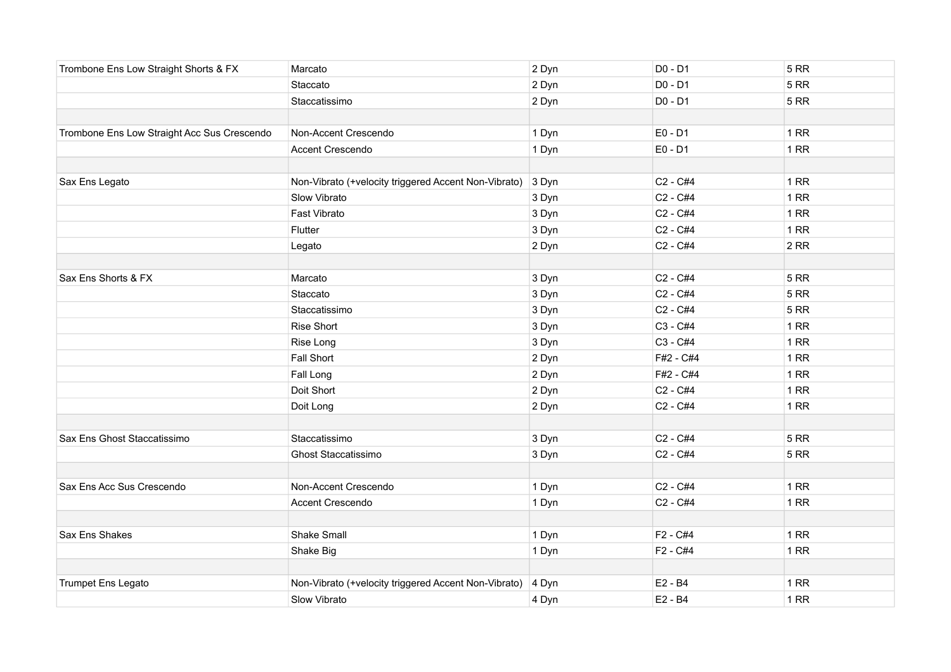| Trombone Ens Low Straight Shorts & FX       | Marcato                                              | 2 Dyn | D0 - D1                          | <b>5 RR</b> |
|---------------------------------------------|------------------------------------------------------|-------|----------------------------------|-------------|
|                                             | Staccato                                             | 2 Dyn | D0 - D1                          | <b>5 RR</b> |
|                                             | Staccatissimo                                        | 2 Dyn | D0 - D1                          | <b>5 RR</b> |
|                                             |                                                      |       |                                  |             |
| Trombone Ens Low Straight Acc Sus Crescendo | Non-Accent Crescendo                                 | 1 Dyn | $E0 - D1$                        | 1RR         |
|                                             | Accent Crescendo                                     | 1 Dyn | E0 - D1                          | 1RR         |
|                                             |                                                      |       |                                  |             |
| Sax Ens Legato                              | Non-Vibrato (+velocity triggered Accent Non-Vibrato) | 3 Dyn | C <sub>2</sub> - C <sub>#4</sub> | 1RR         |
|                                             | Slow Vibrato                                         | 3 Dyn | C <sub>2</sub> - C#4             | 1RR         |
|                                             | Fast Vibrato                                         | 3 Dyn | C <sub>2</sub> - C <sub>#4</sub> | 1RR         |
|                                             | Flutter                                              | 3 Dyn | C <sub>2</sub> - C#4             | 1RR         |
|                                             | Legato                                               | 2 Dyn | C <sub>2</sub> - C <sub>#4</sub> | 2RR         |
|                                             |                                                      |       |                                  |             |
| Sax Ens Shorts & FX                         | Marcato                                              | 3 Dyn | C <sub>2</sub> - C <sub>#4</sub> | <b>5 RR</b> |
|                                             | Staccato                                             | 3 Dyn | C <sub>2</sub> - C#4             | <b>5 RR</b> |
|                                             | Staccatissimo                                        | 3 Dyn | C <sub>2</sub> - C#4             | <b>5 RR</b> |
|                                             | <b>Rise Short</b>                                    | 3 Dyn | C3 - C#4                         | 1RR         |
|                                             | Rise Long                                            | 3 Dyn | C3 - C#4                         | 1RR         |
|                                             | <b>Fall Short</b>                                    | 2 Dyn | F#2 - C#4                        | 1RR         |
|                                             | Fall Long                                            | 2 Dyn | F#2 - C#4                        | 1RR         |
|                                             | Doit Short                                           | 2 Dyn | C2 - C#4                         | 1RR         |
|                                             | Doit Long                                            | 2 Dyn | C <sub>2</sub> - C <sub>#4</sub> | 1RR         |
|                                             |                                                      |       |                                  |             |
| Sax Ens Ghost Staccatissimo                 | Staccatissimo                                        | 3 Dyn | C <sub>2</sub> - C#4             | <b>5 RR</b> |
|                                             | Ghost Staccatissimo                                  | 3 Dyn | C <sub>2</sub> - C <sub>#4</sub> | <b>5 RR</b> |
|                                             |                                                      |       |                                  |             |
| Sax Ens Acc Sus Crescendo                   | Non-Accent Crescendo                                 | 1 Dyn | C <sub>2</sub> - C#4             | 1RR         |
|                                             | <b>Accent Crescendo</b>                              | 1 Dyn | C <sub>2</sub> - C <sub>#4</sub> | 1RR         |
|                                             |                                                      |       |                                  |             |
| Sax Ens Shakes                              | <b>Shake Small</b>                                   | 1 Dyn | F2 - C#4                         | 1RR         |
|                                             | Shake Big                                            | 1 Dyn | F2 - C#4                         | 1RR         |
|                                             |                                                      |       |                                  |             |
| Trumpet Ens Legato                          | Non-Vibrato (+velocity triggered Accent Non-Vibrato) | 4 Dyn | E2 - B4                          | 1RR         |
|                                             | <b>Slow Vibrato</b>                                  | 4 Dyn | E2 - B4                          | 1RR         |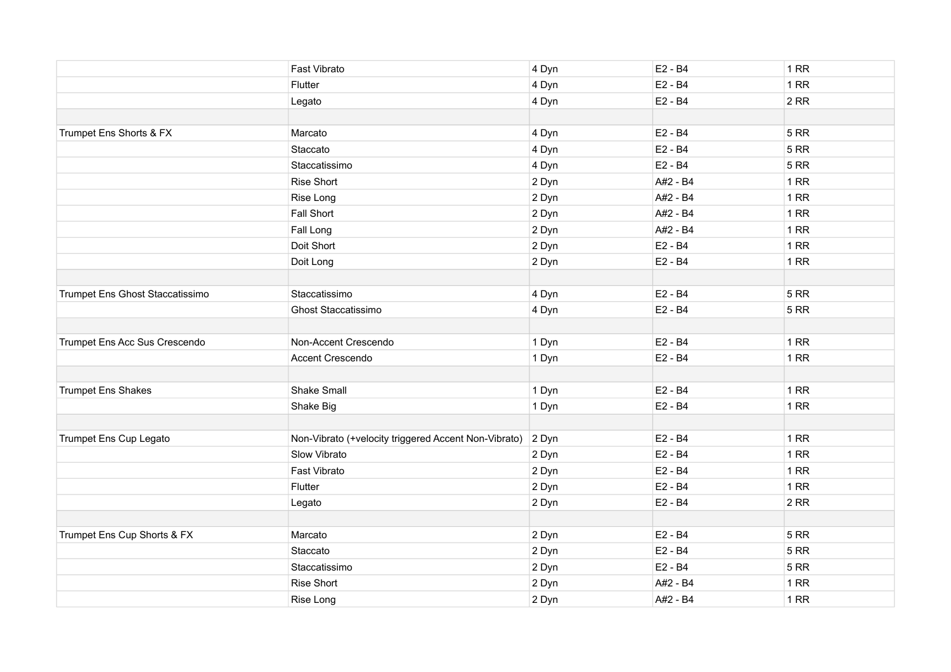|                                 | Fast Vibrato                                         | 4 Dyn | E2 - B4  | 1RR         |
|---------------------------------|------------------------------------------------------|-------|----------|-------------|
|                                 | Flutter                                              | 4 Dyn | E2 - B4  | 1RR         |
|                                 | Legato                                               | 4 Dyn | E2 - B4  | 2RR         |
|                                 |                                                      |       |          |             |
| Trumpet Ens Shorts & FX         | Marcato                                              | 4 Dyn | E2 - B4  | <b>5 RR</b> |
|                                 | Staccato                                             | 4 Dyn | E2 - B4  | <b>5 RR</b> |
|                                 | Staccatissimo                                        | 4 Dyn | E2 - B4  | <b>5 RR</b> |
|                                 | <b>Rise Short</b>                                    | 2 Dyn | A#2 - B4 | 1RR         |
|                                 | Rise Long                                            | 2 Dyn | A#2 - B4 | 1RR         |
|                                 | Fall Short                                           | 2 Dyn | A#2 - B4 | 1RR         |
|                                 | Fall Long                                            | 2 Dyn | A#2 - B4 | 1RR         |
|                                 | Doit Short                                           | 2 Dyn | E2 - B4  | 1RR         |
|                                 | Doit Long                                            | 2 Dyn | E2 - B4  | 1RR         |
|                                 |                                                      |       |          |             |
| Trumpet Ens Ghost Staccatissimo | Staccatissimo                                        | 4 Dyn | E2 - B4  | <b>5 RR</b> |
|                                 | <b>Ghost Staccatissimo</b>                           | 4 Dyn | E2 - B4  | <b>5 RR</b> |
|                                 |                                                      |       |          |             |
| Trumpet Ens Acc Sus Crescendo   | Non-Accent Crescendo                                 | 1 Dyn | E2 - B4  | 1RR         |
|                                 | Accent Crescendo                                     | 1 Dyn | E2 - B4  | 1RR         |
|                                 |                                                      |       |          |             |
| <b>Trumpet Ens Shakes</b>       | Shake Small                                          | 1 Dyn | E2 - B4  | 1RR         |
|                                 | Shake Big                                            | 1 Dyn | E2 - B4  | 1RR         |
|                                 |                                                      |       |          |             |
| Trumpet Ens Cup Legato          | Non-Vibrato (+velocity triggered Accent Non-Vibrato) | 2 Dyn | E2 - B4  | 1RR         |
|                                 | Slow Vibrato                                         | 2 Dyn | E2 - B4  | 1RR         |
|                                 | Fast Vibrato                                         | 2 Dyn | E2 - B4  | 1RR         |
|                                 | Flutter                                              | 2 Dyn | E2 - B4  | 1RR         |
|                                 | Legato                                               | 2 Dyn | E2 - B4  | 2RR         |
|                                 |                                                      |       |          |             |
| Trumpet Ens Cup Shorts & FX     | Marcato                                              | 2 Dyn | E2 - B4  | <b>5 RR</b> |
|                                 | Staccato                                             | 2 Dyn | E2 - B4  | <b>5 RR</b> |
|                                 | Staccatissimo                                        | 2 Dyn | E2 - B4  | 5RR         |
|                                 | <b>Rise Short</b>                                    | 2 Dyn | A#2 - B4 | 1RR         |
|                                 | Rise Long                                            | 2 Dyn | A#2 - B4 | 1RR         |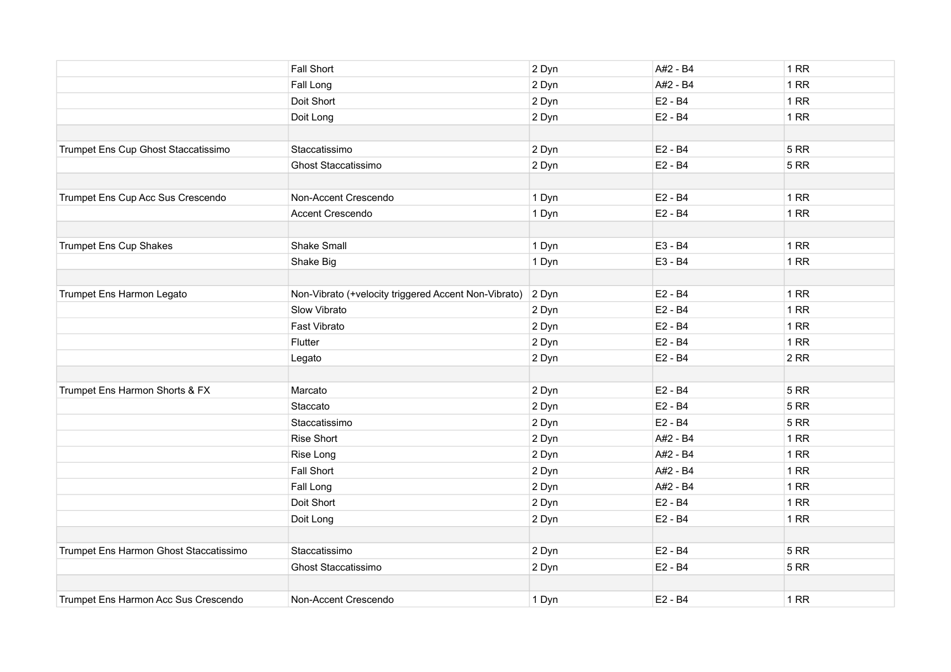|                                        | Fall Short                                           | 2 Dyn | A#2 - B4 | 1 RR        |
|----------------------------------------|------------------------------------------------------|-------|----------|-------------|
|                                        | Fall Long                                            | 2 Dyn | A#2 - B4 | 1RR         |
|                                        | Doit Short                                           | 2 Dyn | E2 - B4  | 1RR         |
|                                        | Doit Long                                            | 2 Dyn | E2 - B4  | 1RR         |
|                                        |                                                      |       |          |             |
| Trumpet Ens Cup Ghost Staccatissimo    | Staccatissimo                                        | 2 Dyn | E2 - B4  | <b>5 RR</b> |
|                                        | Ghost Staccatissimo                                  | 2 Dyn | E2 - B4  | <b>5 RR</b> |
|                                        |                                                      |       |          |             |
| Trumpet Ens Cup Acc Sus Crescendo      | Non-Accent Crescendo                                 | 1 Dyn | E2 - B4  | <b>1 RR</b> |
|                                        | Accent Crescendo                                     | 1 Dyn | E2 - B4  | <b>1 RR</b> |
|                                        |                                                      |       |          |             |
| <b>Trumpet Ens Cup Shakes</b>          | Shake Small                                          | 1 Dyn | E3 - B4  | 1RR         |
|                                        | Shake Big                                            | 1 Dyn | E3 - B4  | 1RR         |
|                                        |                                                      |       |          |             |
| Trumpet Ens Harmon Legato              | Non-Vibrato (+velocity triggered Accent Non-Vibrato) | 2 Dyn | E2 - B4  | 1 RR        |
|                                        | Slow Vibrato                                         | 2 Dyn | E2 - B4  | 1RR         |
|                                        | Fast Vibrato                                         | 2 Dyn | E2 - B4  | 1RR         |
|                                        | Flutter                                              | 2 Dyn | E2 - B4  | 1RR         |
|                                        | Legato                                               | 2 Dyn | E2 - B4  | 2RR         |
|                                        |                                                      |       |          |             |
| Trumpet Ens Harmon Shorts & FX         | Marcato                                              | 2 Dyn | E2 - B4  | <b>5 RR</b> |
|                                        | Staccato                                             | 2 Dyn | E2 - B4  | <b>5 RR</b> |
|                                        | Staccatissimo                                        | 2 Dyn | E2 - B4  | <b>5 RR</b> |
|                                        | Rise Short                                           | 2 Dyn | A#2 - B4 | 1RR         |
|                                        | Rise Long                                            | 2 Dyn | A#2 - B4 | 1RR         |
|                                        | Fall Short                                           | 2 Dyn | A#2 - B4 | 1RR         |
|                                        | Fall Long                                            | 2 Dyn | A#2 - B4 | 1RR         |
|                                        | Doit Short                                           | 2 Dyn | E2 - B4  | 1RR         |
|                                        | Doit Long                                            | 2 Dyn | E2 - B4  | <b>1 RR</b> |
|                                        |                                                      |       |          |             |
| Trumpet Ens Harmon Ghost Staccatissimo | Staccatissimo                                        | 2 Dyn | E2 - B4  | <b>5 RR</b> |
|                                        | Ghost Staccatissimo                                  | 2 Dyn | E2 - B4  | <b>5 RR</b> |
|                                        |                                                      |       |          |             |
| Trumpet Ens Harmon Acc Sus Crescendo   | Non-Accent Crescendo                                 | 1 Dyn | E2 - B4  | 1RR         |
|                                        |                                                      |       |          |             |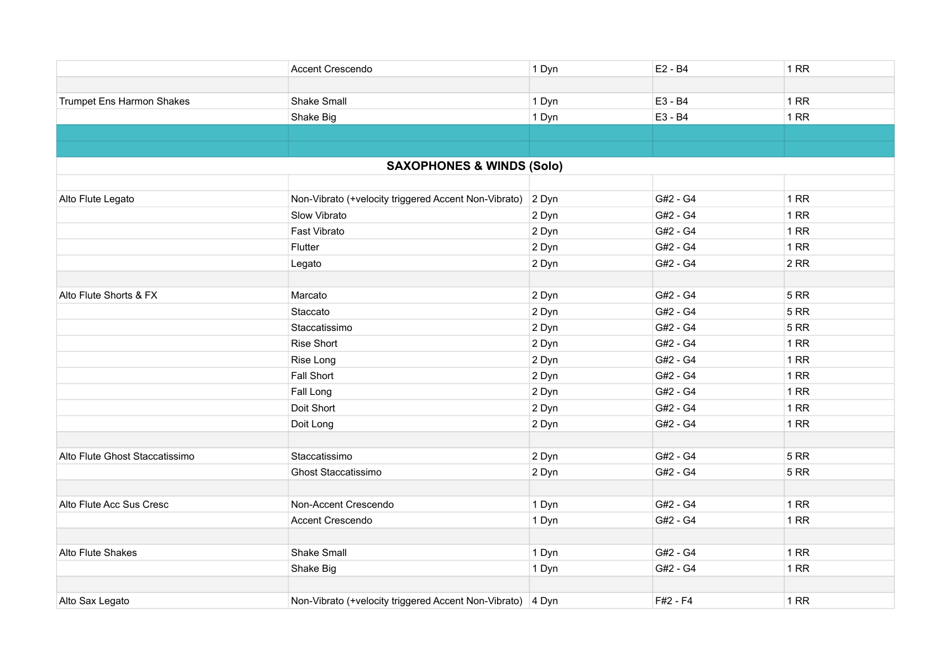|                                | Accent Crescendo                                     | 1 Dyn | E2 - B4  | 1 RR        |
|--------------------------------|------------------------------------------------------|-------|----------|-------------|
|                                |                                                      |       |          |             |
| Trumpet Ens Harmon Shakes      | Shake Small                                          | 1 Dyn | E3 - B4  | 1RR         |
|                                | Shake Big                                            | 1 Dyn | E3 - B4  | 1RR         |
|                                |                                                      |       |          |             |
|                                |                                                      |       |          |             |
|                                | <b>SAXOPHONES &amp; WINDS (Solo)</b>                 |       |          |             |
|                                |                                                      |       |          |             |
| Alto Flute Legato              | Non-Vibrato (+velocity triggered Accent Non-Vibrato) | 2 Dyn | G#2 - G4 | 1 RR        |
|                                | Slow Vibrato                                         | 2 Dyn | G#2 - G4 | 1 RR        |
|                                | Fast Vibrato                                         | 2 Dyn | G#2 - G4 | 1RR         |
|                                | Flutter                                              | 2 Dyn | G#2 - G4 | 1RR         |
|                                | Legato                                               | 2 Dyn | G#2 - G4 | 2RR         |
|                                |                                                      |       |          |             |
| Alto Flute Shorts & FX         | Marcato                                              | 2 Dyn | G#2 - G4 | <b>5 RR</b> |
|                                | Staccato                                             | 2 Dyn | G#2 - G4 | <b>5 RR</b> |
|                                | Staccatissimo                                        | 2 Dyn | G#2 - G4 | <b>5 RR</b> |
|                                | Rise Short                                           | 2 Dyn | G#2 - G4 | 1RR         |
|                                | Rise Long                                            | 2 Dyn | G#2 - G4 | 1RR         |
|                                | Fall Short                                           | 2 Dyn | G#2 - G4 | 1RR         |
|                                | Fall Long                                            | 2 Dyn | G#2 - G4 | 1RR         |
|                                | Doit Short                                           | 2 Dyn | G#2 - G4 | 1RR         |
|                                | Doit Long                                            | 2 Dyn | G#2 - G4 | 1RR         |
|                                |                                                      |       |          |             |
| Alto Flute Ghost Staccatissimo | Staccatissimo                                        | 2 Dyn | G#2 - G4 | <b>5 RR</b> |
|                                | Ghost Staccatissimo                                  | 2 Dyn | G#2 - G4 | <b>5 RR</b> |
|                                |                                                      |       |          |             |
| Alto Flute Acc Sus Cresc       | Non-Accent Crescendo                                 | 1 Dyn | G#2 - G4 | 1RR         |
|                                | <b>Accent Crescendo</b>                              | 1 Dyn | G#2 - G4 | 1RR         |
|                                |                                                      |       |          |             |
| Alto Flute Shakes              | Shake Small                                          | 1 Dyn | G#2 - G4 | 1RR         |
|                                | Shake Big                                            | 1 Dyn | G#2 - G4 | 1RR         |
|                                |                                                      |       |          |             |
| Alto Sax Legato                | Non-Vibrato (+velocity triggered Accent Non-Vibrato) | 4 Dyn | F#2 - F4 | 1RR         |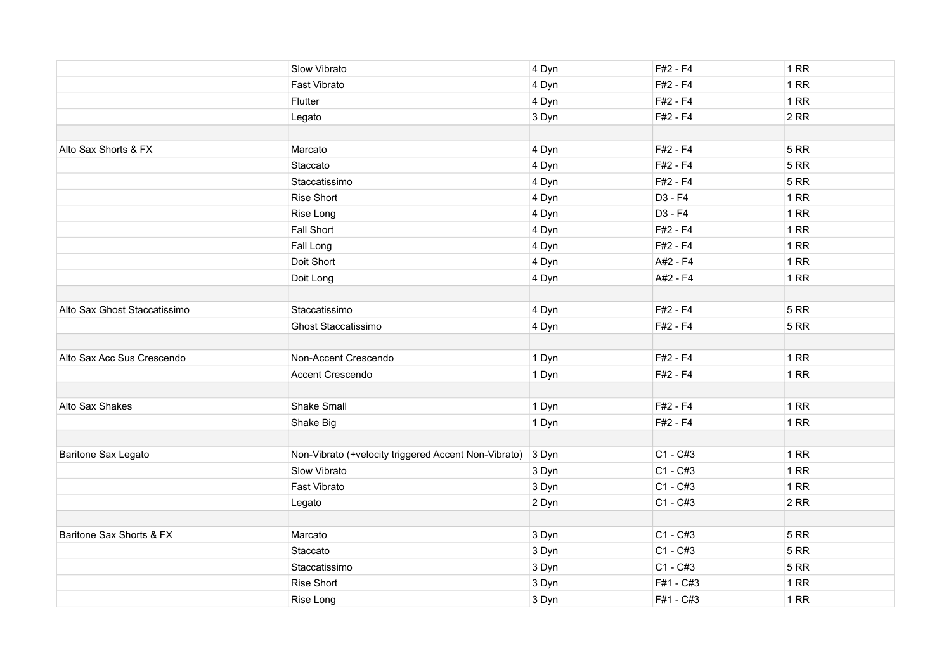|                              | Slow Vibrato                                         | 4 Dyn | $F#2 - F4$ | 1RR         |
|------------------------------|------------------------------------------------------|-------|------------|-------------|
|                              | Fast Vibrato                                         | 4 Dyn | $F#2 - F4$ | 1RR         |
|                              | Flutter                                              | 4 Dyn | F#2 - F4   | 1RR         |
|                              | Legato                                               | 3 Dyn | F#2 - F4   | 2RR         |
|                              |                                                      |       |            |             |
| Alto Sax Shorts & FX         | Marcato                                              | 4 Dyn | F#2 - F4   | <b>5 RR</b> |
|                              | Staccato                                             | 4 Dyn | $F#2 - F4$ | 5RR         |
|                              | Staccatissimo                                        | 4 Dyn | $F#2 - F4$ | <b>5 RR</b> |
|                              | <b>Rise Short</b>                                    | 4 Dyn | D3 - F4    | 1RR         |
|                              | Rise Long                                            | 4 Dyn | D3 - F4    | 1RR         |
|                              | Fall Short                                           | 4 Dyn | F#2 - F4   | 1RR         |
|                              | Fall Long                                            | 4 Dyn | $F#2 - F4$ | 1RR         |
|                              | Doit Short                                           | 4 Dyn | A#2 - F4   | 1RR         |
|                              | Doit Long                                            | 4 Dyn | A#2 - F4   | 1RR         |
|                              |                                                      |       |            |             |
| Alto Sax Ghost Staccatissimo | Staccatissimo                                        | 4 Dyn | F#2 - F4   | 5RR         |
|                              | Ghost Staccatissimo                                  | 4 Dyn | F#2 - F4   | 5RR         |
|                              |                                                      |       |            |             |
| Alto Sax Acc Sus Crescendo   | Non-Accent Crescendo                                 | 1 Dyn | F#2 - F4   | 1RR         |
|                              | Accent Crescendo                                     | 1 Dyn | F#2 - F4   | 1RR         |
|                              |                                                      |       |            |             |
| Alto Sax Shakes              | <b>Shake Small</b>                                   | 1 Dyn | F#2 - F4   | 1RR         |
|                              | Shake Big                                            | 1 Dyn | F#2 - F4   | 1RR         |
|                              |                                                      |       |            |             |
| Baritone Sax Legato          | Non-Vibrato (+velocity triggered Accent Non-Vibrato) | 3 Dyn | $C1 - C#3$ | 1RR         |
|                              | Slow Vibrato                                         | 3 Dyn | $C1 - C#3$ | 1RR         |
|                              | Fast Vibrato                                         | 3 Dyn | $C1 - C#3$ | 1RR         |
|                              | Legato                                               | 2 Dyn | $C1 - C#3$ | 2RR         |
|                              |                                                      |       |            |             |
| Baritone Sax Shorts & FX     | Marcato                                              | 3 Dyn | $C1 - C#3$ | <b>5 RR</b> |
|                              | Staccato                                             | 3 Dyn | $C1 - C#3$ | <b>5 RR</b> |
|                              | Staccatissimo                                        | 3 Dyn | $C1 - C#3$ | <b>5 RR</b> |
|                              | <b>Rise Short</b>                                    | 3 Dyn | F#1 - C#3  | 1RR         |
|                              | Rise Long                                            | 3 Dyn | F#1 - C#3  | 1RR         |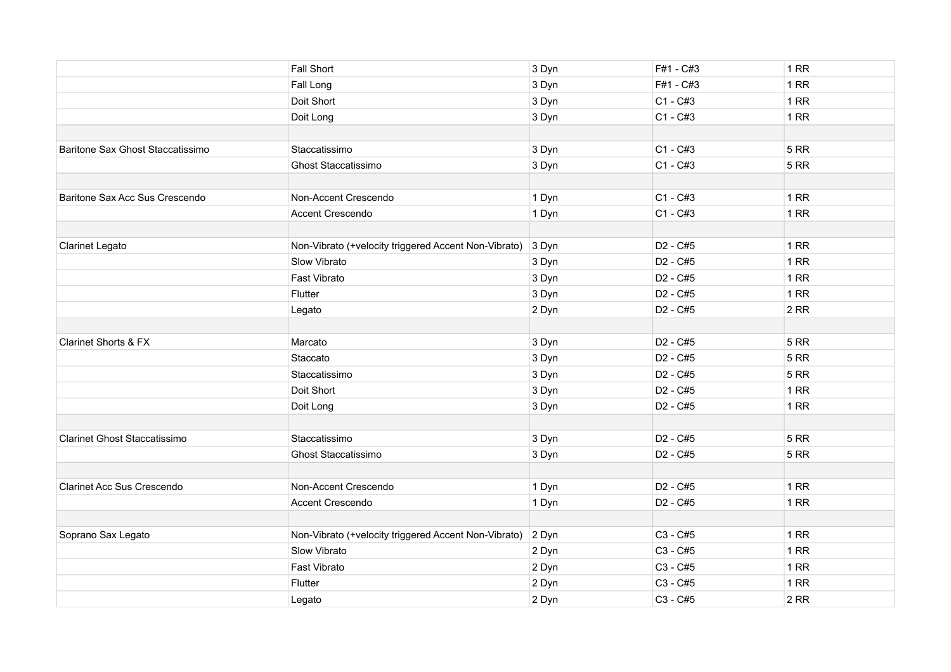|                                   | <b>Fall Short</b>                                    | 3 Dyn | F#1 - C#3            | 1RR         |
|-----------------------------------|------------------------------------------------------|-------|----------------------|-------------|
|                                   | Fall Long                                            | 3 Dyn | F#1 - C#3            | 1RR         |
|                                   | Doit Short                                           | 3 Dyn | $C1 - C#3$           | 1RR         |
|                                   | Doit Long                                            | 3 Dyn | $C1 - C#3$           | 1RR         |
|                                   |                                                      |       |                      |             |
| Baritone Sax Ghost Staccatissimo  | Staccatissimo                                        | 3 Dyn | $C1 - C#3$           | <b>5 RR</b> |
|                                   | Ghost Staccatissimo                                  | 3 Dyn | $C1 - C#3$           | <b>5 RR</b> |
|                                   |                                                      |       |                      |             |
| Baritone Sax Acc Sus Crescendo    | Non-Accent Crescendo                                 | 1 Dyn | $C1 - C#3$           | 1RR         |
|                                   | Accent Crescendo                                     | 1 Dyn | $C1 - C#3$           | 1RR         |
|                                   |                                                      |       |                      |             |
| <b>Clarinet Legato</b>            | Non-Vibrato (+velocity triggered Accent Non-Vibrato) | 3 Dyn | D <sub>2</sub> - C#5 | 1RR         |
|                                   | Slow Vibrato                                         | 3 Dyn | D <sub>2</sub> - C#5 | 1RR         |
|                                   | Fast Vibrato                                         | 3 Dyn | D <sub>2</sub> - C#5 | 1RR         |
|                                   | Flutter                                              | 3 Dyn | D <sub>2</sub> - C#5 | 1RR         |
|                                   | Legato                                               | 2 Dyn | D <sub>2</sub> - C#5 | 2RR         |
|                                   |                                                      |       |                      |             |
| <b>Clarinet Shorts &amp; FX</b>   | Marcato                                              | 3 Dyn | D <sub>2</sub> - C#5 | <b>5 RR</b> |
|                                   | Staccato                                             | 3 Dyn | D <sub>2</sub> - C#5 | <b>5 RR</b> |
|                                   | Staccatissimo                                        | 3 Dyn | D <sub>2</sub> - C#5 | <b>5 RR</b> |
|                                   | Doit Short                                           | 3 Dyn | D <sub>2</sub> - C#5 | 1RR         |
|                                   | Doit Long                                            | 3 Dyn | D <sub>2</sub> - C#5 | 1RR         |
|                                   |                                                      |       |                      |             |
| Clarinet Ghost Staccatissimo      | Staccatissimo                                        | 3 Dyn | D <sub>2</sub> - C#5 | <b>5 RR</b> |
|                                   | Ghost Staccatissimo                                  | 3 Dyn | D <sub>2</sub> - C#5 | <b>5 RR</b> |
|                                   |                                                      |       |                      |             |
| <b>Clarinet Acc Sus Crescendo</b> | Non-Accent Crescendo                                 | 1 Dyn | D <sub>2</sub> - C#5 | 1RR         |
|                                   | Accent Crescendo                                     | 1 Dyn | D <sub>2</sub> - C#5 | 1RR         |
|                                   |                                                      |       |                      |             |
| Soprano Sax Legato                | Non-Vibrato (+velocity triggered Accent Non-Vibrato) | 2 Dyn | C3 - C#5             | <b>1 RR</b> |
|                                   | Slow Vibrato                                         | 2 Dyn | C3 - C#5             | 1RR         |
|                                   | Fast Vibrato                                         | 2 Dyn | C3 - C#5             | 1RR         |
|                                   | Flutter                                              | 2 Dyn | C3 - C#5             | 1RR         |
|                                   | Legato                                               | 2 Dyn | C3 - C#5             | 2RR         |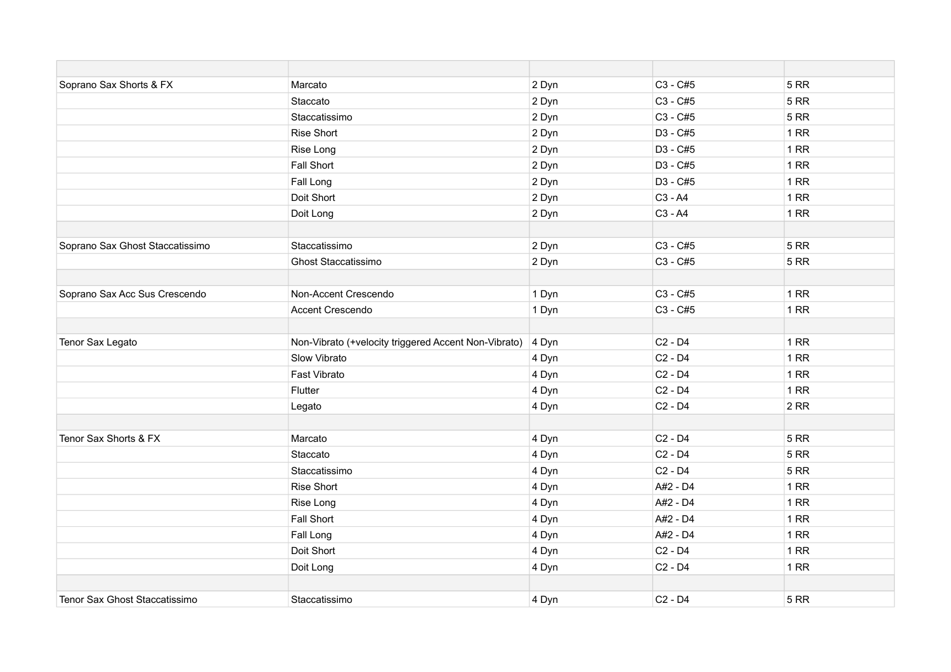| Soprano Sax Shorts & FX         | Marcato                                              | 2 Dyn | C3 - C#5                        | <b>5 RR</b> |
|---------------------------------|------------------------------------------------------|-------|---------------------------------|-------------|
|                                 | Staccato                                             | 2 Dyn | C3 - C#5                        | <b>5 RR</b> |
|                                 | Staccatissimo                                        | 2 Dyn | C3 - C#5                        | <b>5 RR</b> |
|                                 | <b>Rise Short</b>                                    | 2 Dyn | D3 - C#5                        | 1RR         |
|                                 | Rise Long                                            | 2 Dyn | D3 - C#5                        | 1RR         |
|                                 | <b>Fall Short</b>                                    | 2 Dyn | D3 - C#5                        | 1RR         |
|                                 | Fall Long                                            | 2 Dyn | D3 - C#5                        | 1RR         |
|                                 | Doit Short                                           | 2 Dyn | C3 - A4                         | 1RR         |
|                                 | Doit Long                                            | 2 Dyn | C3 - A4                         | 1RR         |
|                                 |                                                      |       |                                 |             |
| Soprano Sax Ghost Staccatissimo | Staccatissimo                                        | 2 Dyn | C3 - C#5                        | <b>5 RR</b> |
|                                 | <b>Ghost Staccatissimo</b>                           | 2 Dyn | C3 - C#5                        | <b>5 RR</b> |
|                                 |                                                      |       |                                 |             |
| Soprano Sax Acc Sus Crescendo   | Non-Accent Crescendo                                 | 1 Dyn | C3 - C#5                        | 1RR         |
|                                 | Accent Crescendo                                     | 1 Dyn | C3 - C#5                        | 1RR         |
|                                 |                                                      |       |                                 |             |
| Tenor Sax Legato                | Non-Vibrato (+velocity triggered Accent Non-Vibrato) | 4 Dyn | C <sub>2</sub> - D <sub>4</sub> | 1 RR        |
|                                 | Slow Vibrato                                         | 4 Dyn | C <sub>2</sub> - D <sub>4</sub> | 1 RR        |
|                                 | Fast Vibrato                                         | 4 Dyn | C <sub>2</sub> - D <sub>4</sub> | 1RR         |
|                                 | Flutter                                              | 4 Dyn | $C2 - D4$                       | 1RR         |
|                                 | Legato                                               | 4 Dyn | C <sub>2</sub> - D <sub>4</sub> | 2RR         |
|                                 |                                                      |       |                                 |             |
| Tenor Sax Shorts & FX           | Marcato                                              | 4 Dyn | C <sub>2</sub> - D <sub>4</sub> | <b>5 RR</b> |
|                                 | Staccato                                             | 4 Dyn | C <sub>2</sub> - D <sub>4</sub> | <b>5 RR</b> |
|                                 | Staccatissimo                                        | 4 Dyn | C <sub>2</sub> - D <sub>4</sub> | <b>5 RR</b> |
|                                 | <b>Rise Short</b>                                    | 4 Dyn | A#2 - D4                        | 1RR         |
|                                 | Rise Long                                            | 4 Dyn | A#2 - D4                        | 1RR         |
|                                 | <b>Fall Short</b>                                    | 4 Dyn | A#2 - D4                        | 1 RR        |
|                                 | Fall Long                                            | 4 Dyn | A#2 - D4                        | 1RR         |
|                                 | Doit Short                                           | 4 Dyn | C <sub>2</sub> - D <sub>4</sub> | 1RR         |
|                                 | Doit Long                                            | 4 Dyn | C <sub>2</sub> - D <sub>4</sub> | $1$ RR      |
|                                 |                                                      |       |                                 |             |
| Tenor Sax Ghost Staccatissimo   | Staccatissimo                                        | 4 Dyn | $C2 - D4$                       | <b>5 RR</b> |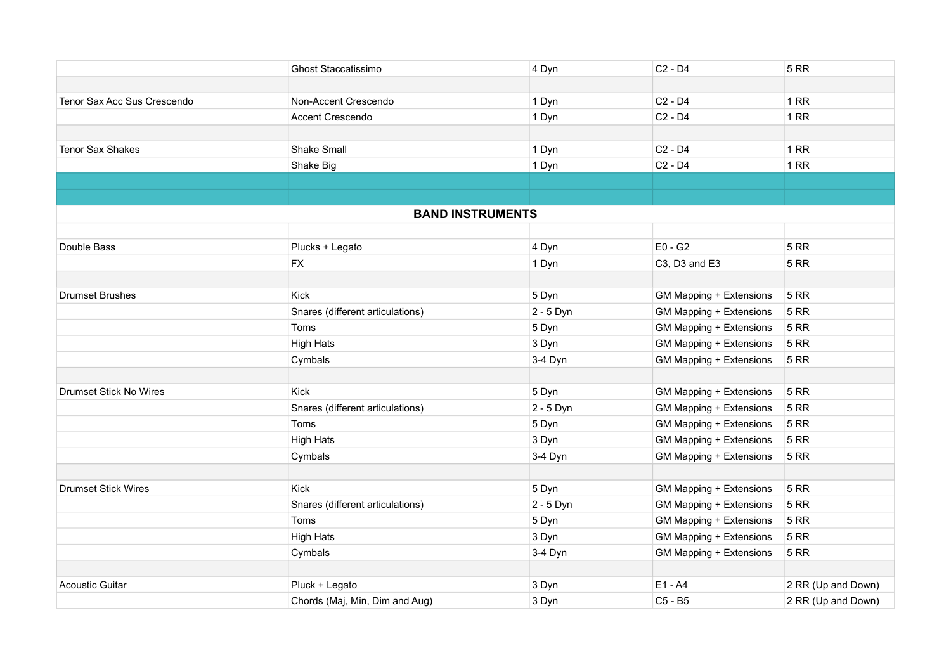|                               | <b>Ghost Staccatissimo</b>       | 4 Dyn       | $C2 - D4$                       | <b>5 RR</b>        |
|-------------------------------|----------------------------------|-------------|---------------------------------|--------------------|
|                               |                                  |             |                                 |                    |
| Tenor Sax Acc Sus Crescendo   | Non-Accent Crescendo             | 1 Dyn       | $C2 - D4$                       | <b>1 RR</b>        |
|                               | <b>Accent Crescendo</b>          | 1 Dyn       | $C2 - D4$                       | <b>1 RR</b>        |
| Tenor Sax Shakes              | <b>Shake Small</b>               | 1 Dyn       | C <sub>2</sub> - D <sub>4</sub> | <b>1 RR</b>        |
|                               | Shake Big                        | 1 Dyn       | C <sub>2</sub> - D <sub>4</sub> | 1RR                |
|                               |                                  |             |                                 |                    |
|                               | <b>BAND INSTRUMENTS</b>          |             |                                 |                    |
|                               |                                  |             |                                 |                    |
| Double Bass                   | Plucks + Legato                  | 4 Dyn       | $E0 - G2$                       | <b>5 RR</b>        |
|                               | <b>FX</b>                        | 1 Dyn       | C3, D3 and E3                   | <b>5 RR</b>        |
|                               |                                  |             |                                 |                    |
| <b>Drumset Brushes</b>        | Kick                             | 5 Dyn       | GM Mapping + Extensions         | <b>5 RR</b>        |
|                               | Snares (different articulations) | 2 - 5 Dyn   | GM Mapping + Extensions         | <b>5 RR</b>        |
|                               | Toms                             | 5 Dyn       | GM Mapping + Extensions         | <b>5 RR</b>        |
|                               | <b>High Hats</b>                 | 3 Dyn       | GM Mapping + Extensions         | <b>5 RR</b>        |
|                               | Cymbals                          | 3-4 Dyn     | GM Mapping + Extensions         | <b>5 RR</b>        |
| <b>Drumset Stick No Wires</b> | <b>Kick</b>                      | 5 Dyn       | GM Mapping + Extensions         | 5 RR               |
|                               | Snares (different articulations) | 2 - 5 Dyn   | GM Mapping + Extensions         | <b>5 RR</b>        |
|                               | Toms                             | 5 Dyn       | GM Mapping + Extensions         | <b>5 RR</b>        |
|                               | <b>High Hats</b>                 | 3 Dyn       | GM Mapping + Extensions         | <b>5 RR</b>        |
|                               | Cymbals                          | 3-4 Dyn     | GM Mapping + Extensions         | <b>5 RR</b>        |
|                               |                                  |             |                                 |                    |
| <b>Drumset Stick Wires</b>    | <b>Kick</b>                      | 5 Dyn       | GM Mapping + Extensions         | <b>5 RR</b>        |
|                               | Snares (different articulations) | $2 - 5$ Dyn | <b>GM Mapping + Extensions</b>  | <b>5 RR</b>        |
|                               | Toms                             | 5 Dyn       | GM Mapping + Extensions         | <b>5 RR</b>        |
|                               | <b>High Hats</b>                 | 3 Dyn       | GM Mapping + Extensions         | <b>5 RR</b>        |
|                               | Cymbals                          | 3-4 Dyn     | GM Mapping + Extensions         | <b>5 RR</b>        |
| <b>Acoustic Guitar</b>        | Pluck + Legato                   | 3 Dyn       | $E1 - A4$                       | 2 RR (Up and Down) |
|                               | Chords (Maj, Min, Dim and Aug)   | 3 Dyn       | C5 - B5                         | 2 RR (Up and Down) |